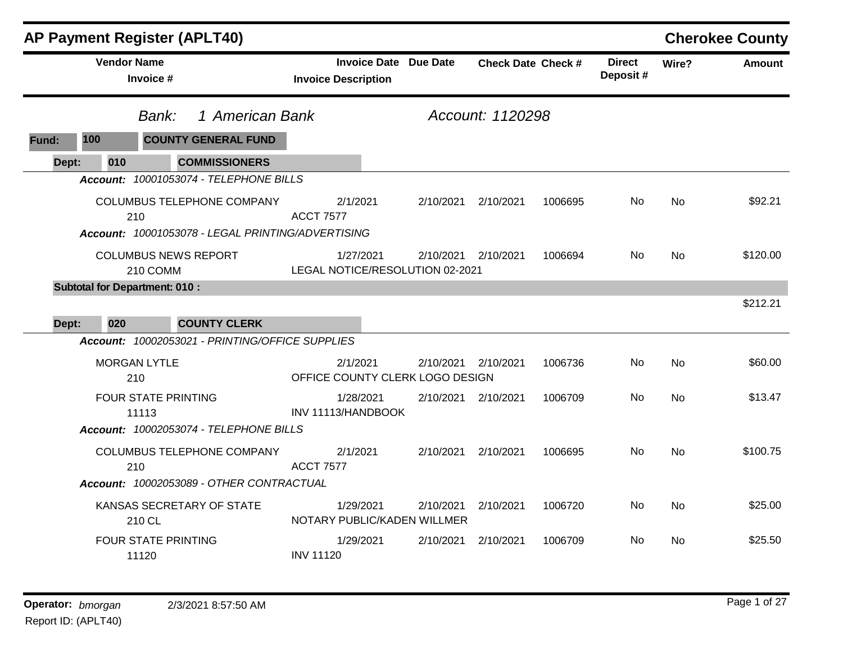|       | <b>AP Payment Register (APLT40)</b>  |                                         |                                                   |                                             |           |                              |                           |         |                           |           | <b>Cherokee County</b> |
|-------|--------------------------------------|-----------------------------------------|---------------------------------------------------|---------------------------------------------|-----------|------------------------------|---------------------------|---------|---------------------------|-----------|------------------------|
|       | <b>Vendor Name</b>                   | Invoice #                               |                                                   | <b>Invoice Description</b>                  |           | <b>Invoice Date Due Date</b> | <b>Check Date Check #</b> |         | <b>Direct</b><br>Deposit# | Wire?     | Amount                 |
|       |                                      | Bank:                                   | 1 American Bank                                   |                                             |           |                              | Account: 1120298          |         |                           |           |                        |
| Fund: | 100                                  |                                         | <b>COUNTY GENERAL FUND</b>                        |                                             |           |                              |                           |         |                           |           |                        |
| Dept: | 010                                  |                                         | <b>COMMISSIONERS</b>                              |                                             |           |                              |                           |         |                           |           |                        |
|       |                                      |                                         | Account: 10001053074 - TELEPHONE BILLS            |                                             |           |                              |                           |         |                           |           |                        |
|       |                                      | 210                                     | COLUMBUS TELEPHONE COMPANY                        | 2/1/2021<br><b>ACCT 7577</b>                |           | 2/10/2021                    | 2/10/2021                 | 1006695 | No.                       | <b>No</b> | \$92.21                |
|       |                                      |                                         | Account: 10001053078 - LEGAL PRINTING/ADVERTISING |                                             |           |                              |                           |         |                           |           |                        |
|       |                                      | <b>COLUMBUS NEWS REPORT</b><br>210 COMM |                                                   | LEGAL NOTICE/RESOLUTION 02-2021             | 1/27/2021 | 2/10/2021                    | 2/10/2021                 | 1006694 | No.                       | <b>No</b> | \$120.00               |
|       | <b>Subtotal for Department: 010:</b> |                                         |                                                   |                                             |           |                              |                           |         |                           |           |                        |
| Dept: | 020                                  |                                         | <b>COUNTY CLERK</b>                               |                                             |           |                              |                           |         |                           |           | \$212.21               |
|       |                                      |                                         | Account: 10002053021 - PRINTING/OFFICE SUPPLIES   |                                             |           |                              |                           |         |                           |           |                        |
|       |                                      | <b>MORGAN LYTLE</b><br>210              |                                                   | 2/1/2021<br>OFFICE COUNTY CLERK LOGO DESIGN |           | 2/10/2021                    | 2/10/2021                 | 1006736 | No.                       | <b>No</b> | \$60.00                |
|       |                                      | FOUR STATE PRINTING<br>11113            |                                                   | INV 11113/HANDBOOK                          | 1/28/2021 | 2/10/2021                    | 2/10/2021                 | 1006709 | No.                       | <b>No</b> | \$13.47                |
|       |                                      |                                         | Account: 10002053074 - TELEPHONE BILLS            |                                             |           |                              |                           |         |                           |           |                        |
|       |                                      | 210                                     | COLUMBUS TELEPHONE COMPANY                        | 2/1/2021<br><b>ACCT 7577</b>                |           | 2/10/2021                    | 2/10/2021                 | 1006695 | No.                       | <b>No</b> | \$100.75               |
|       |                                      |                                         | Account: 10002053089 - OTHER CONTRACTUAL          |                                             |           |                              |                           |         |                           |           |                        |
|       |                                      | 210 CL                                  | KANSAS SECRETARY OF STATE                         | NOTARY PUBLIC/KADEN WILLMER                 | 1/29/2021 | 2/10/2021                    | 2/10/2021                 | 1006720 | No.                       | <b>No</b> | \$25.00                |
|       |                                      | <b>FOUR STATE PRINTING</b><br>11120     |                                                   | <b>INV 11120</b>                            | 1/29/2021 | 2/10/2021                    | 2/10/2021                 | 1006709 | No.                       | <b>No</b> | \$25.50                |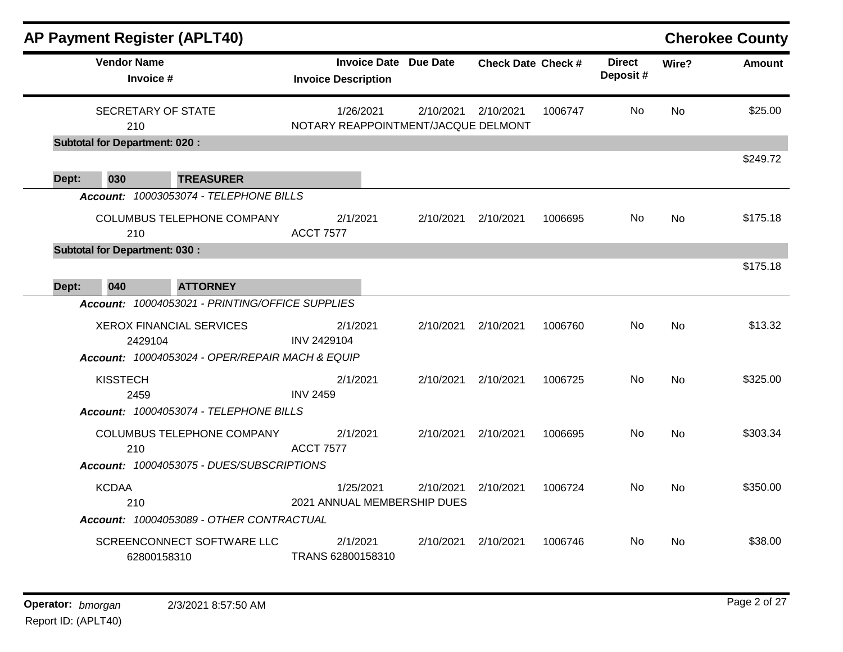|       |                                      | <b>AP Payment Register (APLT40)</b>                                                |                    |                                                     |           |                           |         |                           |           | <b>Cherokee County</b> |
|-------|--------------------------------------|------------------------------------------------------------------------------------|--------------------|-----------------------------------------------------|-----------|---------------------------|---------|---------------------------|-----------|------------------------|
|       | <b>Vendor Name</b><br>Invoice #      |                                                                                    |                    | Invoice Date Due Date<br><b>Invoice Description</b> |           | <b>Check Date Check #</b> |         | <b>Direct</b><br>Deposit# | Wire?     | <b>Amount</b>          |
|       | SECRETARY OF STATE<br>210            |                                                                                    |                    | 1/26/2021<br>NOTARY REAPPOINTMENT/JACQUE DELMONT    | 2/10/2021 | 2/10/2021                 | 1006747 | No                        | No        | \$25.00                |
|       | <b>Subtotal for Department: 020:</b> |                                                                                    |                    |                                                     |           |                           |         |                           |           |                        |
|       |                                      |                                                                                    |                    |                                                     |           |                           |         |                           |           | \$249.72               |
| Dept: | 030                                  | <b>TREASURER</b>                                                                   |                    |                                                     |           |                           |         |                           |           |                        |
|       |                                      | Account: 10003053074 - TELEPHONE BILLS                                             |                    |                                                     |           |                           |         |                           |           |                        |
|       | 210                                  | COLUMBUS TELEPHONE COMPANY                                                         | <b>ACCT 7577</b>   | 2/1/2021                                            | 2/10/2021 | 2/10/2021                 | 1006695 | No.                       | No        | \$175.18               |
|       | <b>Subtotal for Department: 030:</b> |                                                                                    |                    |                                                     |           |                           |         |                           |           | \$175.18               |
| Dept: | 040                                  | <b>ATTORNEY</b>                                                                    |                    |                                                     |           |                           |         |                           |           |                        |
|       |                                      | Account: 10004053021 - PRINTING/OFFICE SUPPLIES                                    |                    |                                                     |           |                           |         |                           |           |                        |
|       | 2429104                              | <b>XEROX FINANCIAL SERVICES</b><br>Account: 10004053024 - OPER/REPAIR MACH & EQUIP | <b>INV 2429104</b> | 2/1/2021                                            | 2/10/2021 | 2/10/2021                 | 1006760 | No.                       | No        | \$13.32                |
|       | <b>KISSTECH</b><br>2459              |                                                                                    | <b>INV 2459</b>    | 2/1/2021                                            | 2/10/2021 | 2/10/2021                 | 1006725 | No                        | <b>No</b> | \$325.00               |
|       |                                      | Account: 10004053074 - TELEPHONE BILLS                                             |                    |                                                     |           |                           |         |                           |           |                        |
|       | 210                                  | COLUMBUS TELEPHONE COMPANY                                                         | <b>ACCT 7577</b>   | 2/1/2021                                            | 2/10/2021 | 2/10/2021                 | 1006695 | No                        | <b>No</b> | \$303.34               |
|       |                                      | Account: 10004053075 - DUES/SUBSCRIPTIONS                                          |                    |                                                     |           |                           |         |                           |           |                        |
|       | <b>KCDAA</b><br>210                  | Account: 10004053089 - OTHER CONTRACTUAL                                           |                    | 1/25/2021<br>2021 ANNUAL MEMBERSHIP DUES            | 2/10/2021 | 2/10/2021                 | 1006724 | No.                       | <b>No</b> | \$350.00               |
|       |                                      |                                                                                    |                    |                                                     |           |                           |         |                           |           |                        |
|       |                                      | SCREENCONNECT SOFTWARE LLC<br>62800158310                                          |                    | 2/1/2021<br>TRANS 62800158310                       | 2/10/2021 | 2/10/2021                 | 1006746 | No.                       | <b>No</b> | \$38.00                |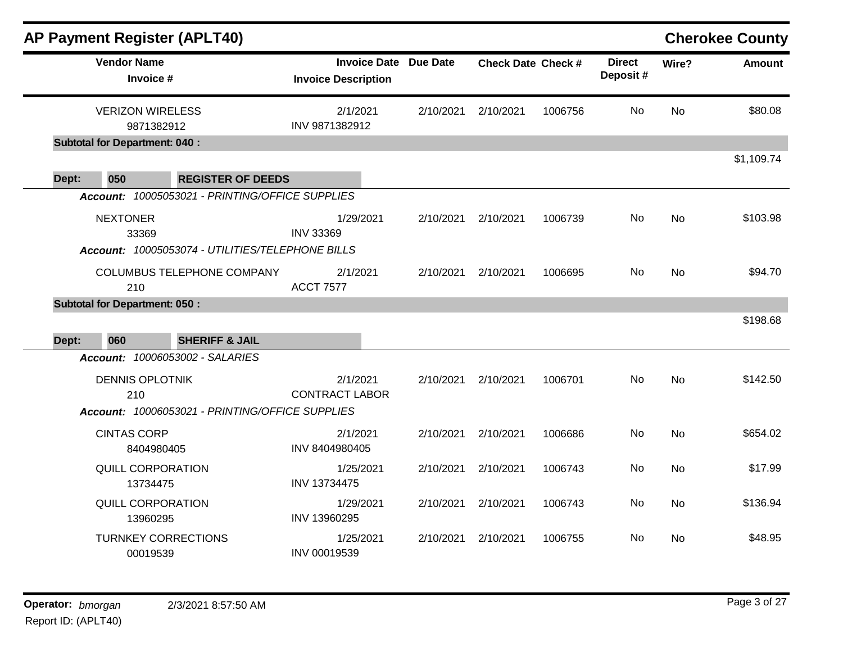| <b>AP Payment Register (APLT40)</b>                                                                                        |                                                            |           |                           |         |                           |           | <b>Cherokee County</b> |
|----------------------------------------------------------------------------------------------------------------------------|------------------------------------------------------------|-----------|---------------------------|---------|---------------------------|-----------|------------------------|
| <b>Vendor Name</b><br>Invoice #                                                                                            | <b>Invoice Date Due Date</b><br><b>Invoice Description</b> |           | <b>Check Date Check #</b> |         | <b>Direct</b><br>Deposit# | Wire?     | <b>Amount</b>          |
| <b>VERIZON WIRELESS</b><br>9871382912<br><b>Subtotal for Department: 040:</b>                                              | 2/1/2021<br>INV 9871382912                                 | 2/10/2021 | 2/10/2021                 | 1006756 | <b>No</b>                 | <b>No</b> | \$80.08                |
| 050<br><b>REGISTER OF DEEDS</b><br>Dept:                                                                                   |                                                            |           |                           |         |                           |           | \$1,109.74             |
| Account: 10005053021 - PRINTING/OFFICE SUPPLIES                                                                            |                                                            |           |                           |         |                           |           |                        |
| <b>NEXTONER</b><br>33369<br>Account: 10005053074 - UTILITIES/TELEPHONE BILLS                                               | 1/29/2021<br><b>INV 33369</b>                              | 2/10/2021 | 2/10/2021                 | 1006739 | <b>No</b>                 | <b>No</b> | \$103.98               |
| COLUMBUS TELEPHONE COMPANY<br>210                                                                                          | 2/1/2021<br><b>ACCT 7577</b>                               | 2/10/2021 | 2/10/2021                 | 1006695 | No.                       | <b>No</b> | \$94.70                |
| <b>Subtotal for Department: 050:</b>                                                                                       |                                                            |           |                           |         |                           |           |                        |
| 060<br>Dept:<br><b>SHERIFF &amp; JAIL</b>                                                                                  |                                                            |           |                           |         |                           |           | \$198.68               |
| <b>Account: 10006053002 - SALARIES</b><br><b>DENNIS OPLOTNIK</b><br>210<br>Account: 10006053021 - PRINTING/OFFICE SUPPLIES | 2/1/2021<br><b>CONTRACT LABOR</b>                          | 2/10/2021 | 2/10/2021                 | 1006701 | <b>No</b>                 | <b>No</b> | \$142.50               |
| <b>CINTAS CORP</b><br>8404980405                                                                                           | 2/1/2021<br>INV 8404980405                                 | 2/10/2021 | 2/10/2021                 | 1006686 | <b>No</b>                 | <b>No</b> | \$654.02               |
| <b>QUILL CORPORATION</b><br>13734475                                                                                       | 1/25/2021<br>INV 13734475                                  | 2/10/2021 | 2/10/2021                 | 1006743 | No                        | <b>No</b> | \$17.99                |
| <b>QUILL CORPORATION</b><br>13960295                                                                                       | 1/29/2021<br>INV 13960295                                  | 2/10/2021 | 2/10/2021                 | 1006743 | No                        | <b>No</b> | \$136.94               |
| <b>TURNKEY CORRECTIONS</b><br>00019539                                                                                     | 1/25/2021<br>INV 00019539                                  | 2/10/2021 | 2/10/2021                 | 1006755 | No.                       | <b>No</b> | \$48.95                |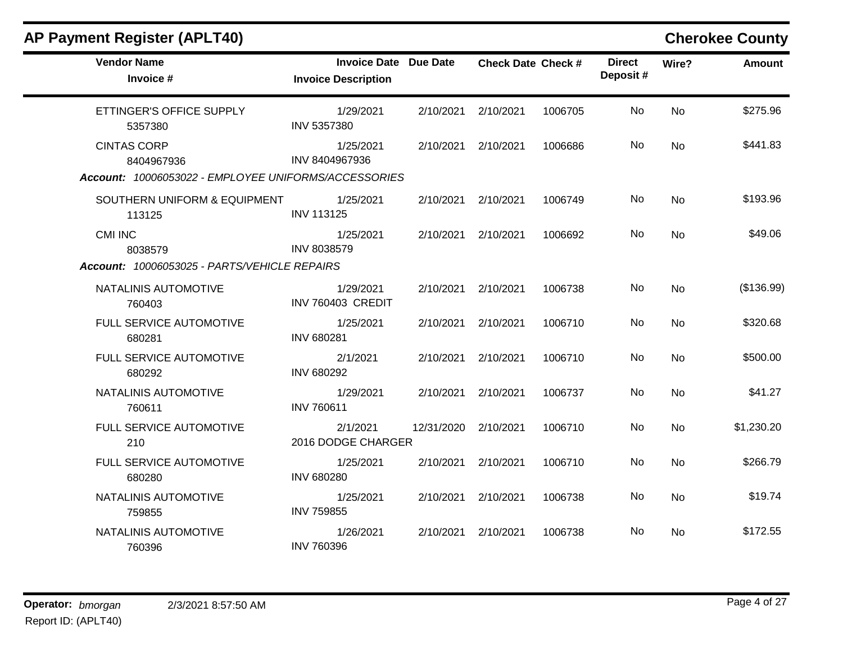### **AP Payment Register (APLT40) Cherokee County Vendor Name Invoice Date Due Date Check Date Invoice # Check Date Check # Invoice Description Direct Wire? Amount Deposit #** ETTINGER'S OFFICE SUPPLY 5357380 1/29/2021 2/10/2021 2/10/2021 1006705 No \$275.96 INV 5357380 No CINTAS CORP 8404967936 1/25/2021 2/10/2021 2/10/2021 1006686 No \$441.83 INV 8404967936 No *Account: 10006053022 - EMPLOYEE UNIFORMS/ACCESSORIES* SOUTHERN UNIFORM & EQUIPMENT 113125 1/25/2021 2/10/2021 2/10/2021 1006749 No \$193.96 INV 113125 No CMI INC 8038579 1/25/2021 2/10/2021 2/10/2021 1006692 No \$49.06 INV 8038579 No *Account: 10006053025 - PARTS/VEHICLE REPAIRS* NATALINIS AUTOMOTIVE 760403 1/29/2021 2/10/2021 2/10/2021 1006738 No (\$136.99) INV 760403 CREDIT No FULL SERVICE AUTOMOTIVE 680281 1/25/2021 2/10/2021 2/10/2021 1006710 No \$320.68 INV 680281 No FULL SERVICE AUTOMOTIVE 680292 2/1/2021 2/10/2021 2/10/2021 1006710 No \$500.00 INV 680292 No NATALINIS AUTOMOTIVE 760611 1/29/2021 2/10/2021 2/10/2021 1006737 No \$41.27 INV 760611 No FULL SERVICE AUTOMOTIVE 210 2/1/2021 12/31/2020 2/10/2021 1006710 No \$1,230.20 2016 DODGE CHARGER No FULL SERVICE AUTOMOTIVE 680280 1/25/2021 2/10/2021 2/10/2021 1006710 No \$266.79 INV 680280 No NATALINIS AUTOMOTIVE 759855 1/25/2021 2/10/2021 2/10/2021 1006738 No \$19.74 INV 759855 No NATALINIS AUTOMOTIVE 760396 1/26/2021 2/10/2021 2/10/2021 1006738 No \$172.55 INV 760396 No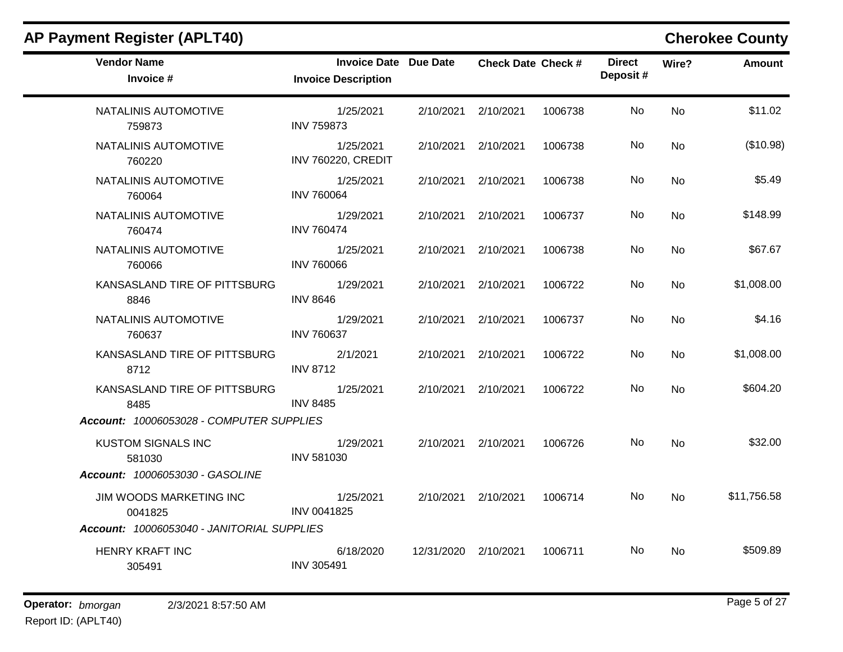| <b>Vendor Name</b><br>Invoice #            | Invoice Date Due Date<br><b>Invoice Description</b> |                      | <b>Check Date Check #</b> |         | <b>Direct</b><br>Deposit# | Wire?     | Amount      |
|--------------------------------------------|-----------------------------------------------------|----------------------|---------------------------|---------|---------------------------|-----------|-------------|
| NATALINIS AUTOMOTIVE<br>759873             | 1/25/2021<br><b>INV 759873</b>                      | 2/10/2021            | 2/10/2021                 | 1006738 | No.                       | <b>No</b> | \$11.02     |
| NATALINIS AUTOMOTIVE<br>760220             | 1/25/2021<br><b>INV 760220, CREDIT</b>              |                      | 2/10/2021 2/10/2021       | 1006738 | No.                       | <b>No</b> | (\$10.98)   |
| NATALINIS AUTOMOTIVE<br>760064             | 1/25/2021<br><b>INV 760064</b>                      |                      | 2/10/2021 2/10/2021       | 1006738 | No.                       | <b>No</b> | \$5.49      |
| NATALINIS AUTOMOTIVE<br>760474             | 1/29/2021<br><b>INV 760474</b>                      |                      | 2/10/2021 2/10/2021       | 1006737 | No.                       | <b>No</b> | \$148.99    |
| NATALINIS AUTOMOTIVE<br>760066             | 1/25/2021<br><b>INV 760066</b>                      |                      | 2/10/2021 2/10/2021       | 1006738 | <b>No</b>                 | <b>No</b> | \$67.67     |
| KANSASLAND TIRE OF PITTSBURG<br>8846       | 1/29/2021<br><b>INV 8646</b>                        |                      | 2/10/2021 2/10/2021       | 1006722 | No.                       | <b>No</b> | \$1,008.00  |
| NATALINIS AUTOMOTIVE<br>760637             | 1/29/2021<br><b>INV 760637</b>                      |                      | 2/10/2021 2/10/2021       | 1006737 | No                        | No        | \$4.16      |
| KANSASLAND TIRE OF PITTSBURG<br>8712       | 2/1/2021<br><b>INV 8712</b>                         |                      | 2/10/2021 2/10/2021       | 1006722 | No                        | <b>No</b> | \$1,008.00  |
| KANSASLAND TIRE OF PITTSBURG<br>8485       | 1/25/2021<br><b>INV 8485</b>                        |                      | 2/10/2021 2/10/2021       | 1006722 | No                        | <b>No</b> | \$604.20    |
| Account: 10006053028 - COMPUTER SUPPLIES   |                                                     |                      |                           |         |                           |           |             |
| <b>KUSTOM SIGNALS INC</b><br>581030        | 1/29/2021<br><b>INV 581030</b>                      |                      | 2/10/2021 2/10/2021       | 1006726 | No.                       | No        | \$32.00     |
| Account: 10006053030 - GASOLINE            |                                                     |                      |                           |         |                           |           |             |
| JIM WOODS MARKETING INC<br>0041825         | 1/25/2021<br>INV 0041825                            |                      | 2/10/2021 2/10/2021       | 1006714 | No                        | <b>No</b> | \$11,756.58 |
| Account: 10006053040 - JANITORIAL SUPPLIES |                                                     |                      |                           |         |                           |           |             |
| <b>HENRY KRAFT INC</b><br>305491           | 6/18/2020<br><b>INV 305491</b>                      | 12/31/2020 2/10/2021 |                           | 1006711 | No.                       | <b>No</b> | \$509.89    |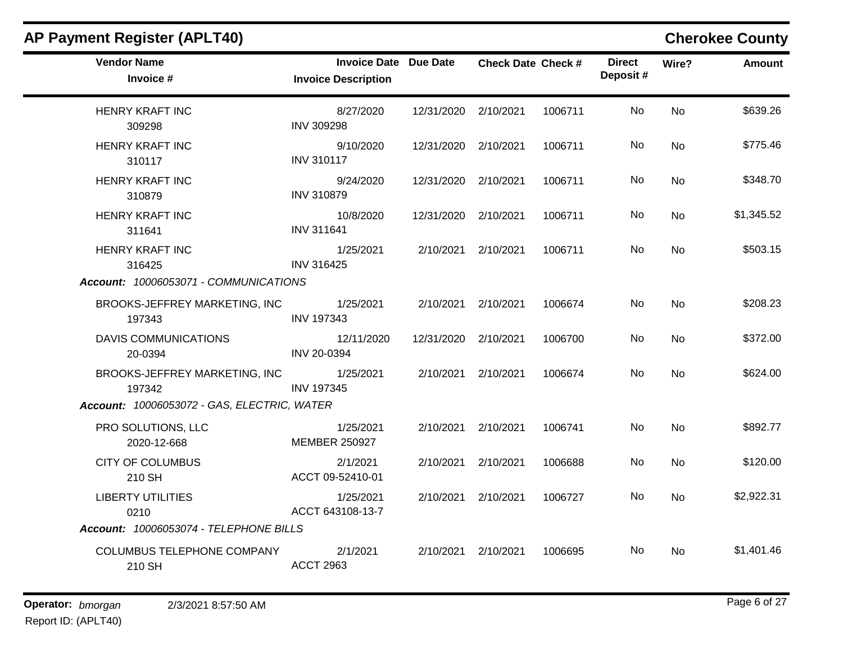| <b>Vendor Name</b><br>Invoice #                                            | Invoice Date Due Date<br><b>Invoice Description</b> |                      | <b>Check Date Check #</b> |         | <b>Direct</b><br>Deposit# | Wire?     | <b>Amount</b> |
|----------------------------------------------------------------------------|-----------------------------------------------------|----------------------|---------------------------|---------|---------------------------|-----------|---------------|
| <b>HENRY KRAFT INC</b><br>309298                                           | 8/27/2020<br><b>INV 309298</b>                      | 12/31/2020 2/10/2021 |                           | 1006711 | <b>No</b>                 | <b>No</b> | \$639.26      |
| <b>HENRY KRAFT INC</b><br>310117                                           | 9/10/2020<br><b>INV 310117</b>                      | 12/31/2020 2/10/2021 |                           | 1006711 | No.                       | <b>No</b> | \$775.46      |
| HENRY KRAFT INC<br>310879                                                  | 9/24/2020<br><b>INV 310879</b>                      | 12/31/2020 2/10/2021 |                           | 1006711 | No.                       | <b>No</b> | \$348.70      |
| <b>HENRY KRAFT INC</b><br>311641                                           | 10/8/2020<br><b>INV 311641</b>                      | 12/31/2020 2/10/2021 |                           | 1006711 | No.                       | <b>No</b> | \$1,345.52    |
| <b>HENRY KRAFT INC</b><br>316425<br>Account: 10006053071 - COMMUNICATIONS  | 1/25/2021<br><b>INV 316425</b>                      |                      | 2/10/2021 2/10/2021       | 1006711 | No                        | <b>No</b> | \$503.15      |
| BROOKS-JEFFREY MARKETING, INC<br>197343                                    | 1/25/2021<br><b>INV 197343</b>                      |                      | 2/10/2021 2/10/2021       | 1006674 | <b>No</b>                 | <b>No</b> | \$208.23      |
| <b>DAVIS COMMUNICATIONS</b><br>20-0394                                     | 12/11/2020<br>INV 20-0394                           | 12/31/2020 2/10/2021 |                           | 1006700 | No.                       | <b>No</b> | \$372.00      |
| BROOKS-JEFFREY MARKETING, INC<br>197342                                    | 1/25/2021<br><b>INV 197345</b>                      |                      | 2/10/2021 2/10/2021       | 1006674 | No                        | <b>No</b> | \$624.00      |
| Account: 10006053072 - GAS, ELECTRIC, WATER                                |                                                     |                      |                           |         |                           |           |               |
| PRO SOLUTIONS, LLC<br>2020-12-668                                          | 1/25/2021<br><b>MEMBER 250927</b>                   |                      | 2/10/2021 2/10/2021       | 1006741 | No.                       | <b>No</b> | \$892.77      |
| <b>CITY OF COLUMBUS</b><br>210 SH                                          | 2/1/2021<br>ACCT 09-52410-01                        |                      | 2/10/2021 2/10/2021       | 1006688 | No                        | <b>No</b> | \$120.00      |
| <b>LIBERTY UTILITIES</b><br>0210<br>Account: 10006053074 - TELEPHONE BILLS | 1/25/2021<br>ACCT 643108-13-7                       |                      | 2/10/2021 2/10/2021       | 1006727 | No.                       | <b>No</b> | \$2,922.31    |
|                                                                            |                                                     |                      |                           |         |                           |           |               |
| COLUMBUS TELEPHONE COMPANY<br>210 SH                                       | 2/1/2021<br><b>ACCT 2963</b>                        |                      | 2/10/2021 2/10/2021       | 1006695 | No.                       | <b>No</b> | \$1,401.46    |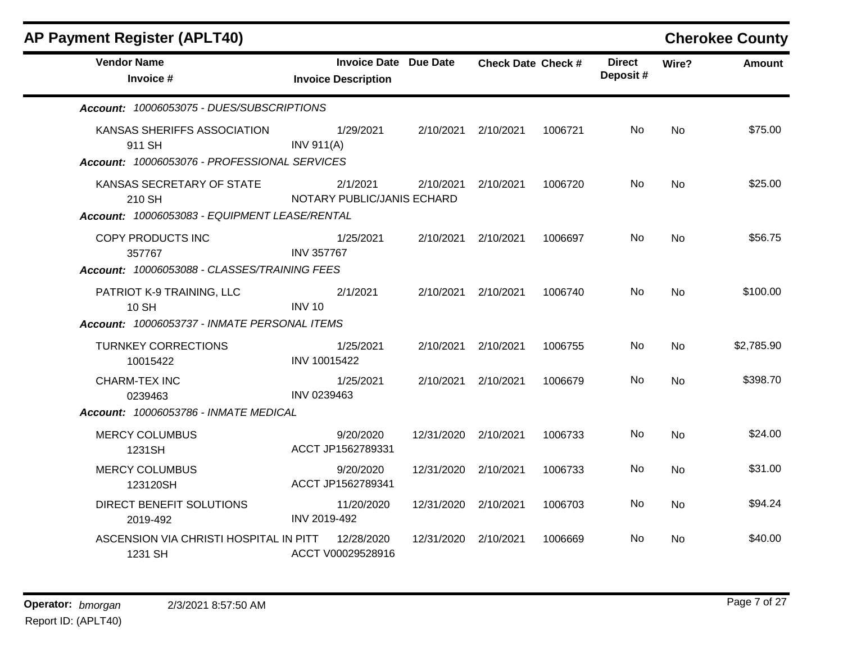| AP Payment Register (APLT40)                                                          |                                                            |                      |                           |         |                           |           | <b>Cherokee County</b> |
|---------------------------------------------------------------------------------------|------------------------------------------------------------|----------------------|---------------------------|---------|---------------------------|-----------|------------------------|
| <b>Vendor Name</b><br>Invoice #                                                       | <b>Invoice Date Due Date</b><br><b>Invoice Description</b> |                      | <b>Check Date Check #</b> |         | <b>Direct</b><br>Deposit# | Wire?     | <b>Amount</b>          |
| Account: 10006053075 - DUES/SUBSCRIPTIONS                                             |                                                            |                      |                           |         |                           |           |                        |
| KANSAS SHERIFFS ASSOCIATION<br>911 SH<br>Account: 10006053076 - PROFESSIONAL SERVICES | 1/29/2021<br><b>INV 911(A)</b>                             |                      | 2/10/2021 2/10/2021       | 1006721 | No.                       | <b>No</b> | \$75.00                |
| KANSAS SECRETARY OF STATE<br>210 SH                                                   | 2/1/2021<br>NOTARY PUBLIC/JANIS ECHARD                     | 2/10/2021            | 2/10/2021                 | 1006720 | No.                       | <b>No</b> | \$25.00                |
| Account: 10006053083 - EQUIPMENT LEASE/RENTAL                                         |                                                            |                      |                           |         |                           |           |                        |
| COPY PRODUCTS INC<br>357767                                                           | 1/25/2021<br><b>INV 357767</b>                             |                      | 2/10/2021 2/10/2021       | 1006697 | No                        | <b>No</b> | \$56.75                |
| Account: 10006053088 - CLASSES/TRAINING FEES                                          |                                                            |                      |                           |         |                           |           |                        |
| PATRIOT K-9 TRAINING, LLC<br><b>10 SH</b>                                             | 2/1/2021<br><b>INV 10</b>                                  |                      | 2/10/2021 2/10/2021       | 1006740 | No                        | <b>No</b> | \$100.00               |
| Account: 10006053737 - INMATE PERSONAL ITEMS                                          |                                                            |                      |                           |         |                           |           |                        |
| <b>TURNKEY CORRECTIONS</b><br>10015422                                                | 1/25/2021<br>INV 10015422                                  | 2/10/2021            | 2/10/2021                 | 1006755 | No                        | <b>No</b> | \$2,785.90             |
| <b>CHARM-TEX INC</b><br>0239463                                                       | 1/25/2021<br>INV 0239463                                   |                      | 2/10/2021 2/10/2021       | 1006679 | No.                       | <b>No</b> | \$398.70               |
| Account: 10006053786 - INMATE MEDICAL                                                 |                                                            |                      |                           |         |                           |           |                        |
| <b>MERCY COLUMBUS</b><br>1231SH                                                       | 9/20/2020<br>ACCT JP1562789331                             | 12/31/2020           | 2/10/2021                 | 1006733 | No                        | <b>No</b> | \$24.00                |
| <b>MERCY COLUMBUS</b><br>123120SH                                                     | 9/20/2020<br>ACCT JP1562789341                             | 12/31/2020           | 2/10/2021                 | 1006733 | No.                       | No        | \$31.00                |
| DIRECT BENEFIT SOLUTIONS<br>2019-492                                                  | 11/20/2020<br>INV 2019-492                                 | 12/31/2020 2/10/2021 |                           | 1006703 | No.                       | <b>No</b> | \$94.24                |
| ASCENSION VIA CHRISTI HOSPITAL IN PITT<br>1231 SH                                     | 12/28/2020<br>ACCT V00029528916                            | 12/31/2020           | 2/10/2021                 | 1006669 | No.                       | No.       | \$40.00                |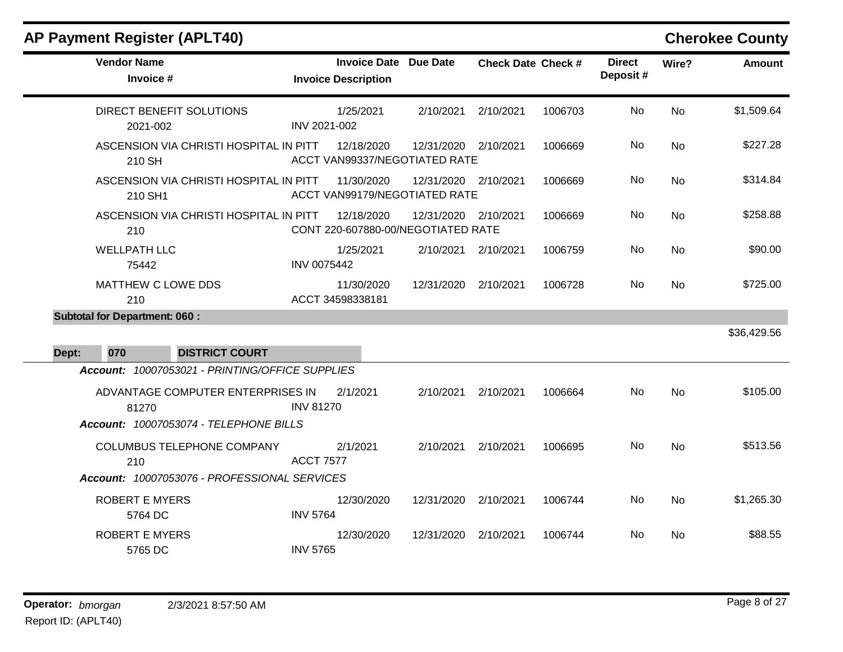| <b>Vendor Name</b><br>Invoice #                   | <b>Invoice Description</b>     | <b>Invoice Date Due Date</b>       |                      | <b>Check Date Check #</b> | <b>Direct</b><br>Deposit# | Wire?     | <b>Amount</b> |
|---------------------------------------------------|--------------------------------|------------------------------------|----------------------|---------------------------|---------------------------|-----------|---------------|
| DIRECT BENEFIT SOLUTIONS<br>2021-002              | 1/25/2021<br>INV 2021-002      | 2/10/2021                          | 2/10/2021            | 1006703                   | <b>No</b>                 | <b>No</b> | \$1,509.64    |
| ASCENSION VIA CHRISTI HOSPITAL IN PITT<br>210 SH  | 12/18/2020                     | ACCT VAN99337/NEGOTIATED RATE      | 12/31/2020 2/10/2021 | 1006669                   | No                        | <b>No</b> | \$227.28      |
| ASCENSION VIA CHRISTI HOSPITAL IN PITT<br>210 SH1 | 11/30/2020                     | ACCT VAN99179/NEGOTIATED RATE      | 12/31/2020 2/10/2021 | 1006669                   | No                        | <b>No</b> | \$314.84      |
| ASCENSION VIA CHRISTI HOSPITAL IN PITT<br>210     | 12/18/2020                     | CONT 220-607880-00/NEGOTIATED RATE | 12/31/2020 2/10/2021 | 1006669                   | No                        | <b>No</b> | \$258.88      |
| <b>WELLPATH LLC</b><br>75442                      | 1/25/2021<br>INV 0075442       |                                    | 2/10/2021 2/10/2021  | 1006759                   | No                        | <b>No</b> | \$90.00       |
| MATTHEW C LOWE DDS<br>210                         | 11/30/2020<br>ACCT 34598338181 |                                    | 12/31/2020 2/10/2021 | 1006728                   | No                        | <b>No</b> | \$725.00      |
| <b>Subtotal for Department: 060:</b>              |                                |                                    |                      |                           |                           |           |               |
|                                                   |                                |                                    |                      |                           |                           |           | \$36,429.56   |
| 070<br>Dept:<br><b>DISTRICT COURT</b>             |                                |                                    |                      |                           |                           |           |               |
| Account: 10007053021 - PRINTING/OFFICE SUPPLIES   |                                |                                    |                      |                           |                           |           |               |
| ADVANTAGE COMPUTER ENTERPRISES IN<br>81270        | 2/1/2021<br><b>INV 81270</b>   | 2/10/2021                          | 2/10/2021            | 1006664                   | No                        | <b>No</b> | \$105.00      |
| Account: 10007053074 - TELEPHONE BILLS            |                                |                                    |                      |                           |                           |           |               |
| COLUMBUS TELEPHONE COMPANY<br>210                 | 2/1/2021<br><b>ACCT 7577</b>   | 2/10/2021                          | 2/10/2021            | 1006695                   | No                        | <b>No</b> | \$513.56      |
| Account: 10007053076 - PROFESSIONAL SERVICES      |                                |                                    |                      |                           |                           |           |               |
| <b>ROBERT E MYERS</b><br>5764 DC                  | 12/30/2020<br><b>INV 5764</b>  |                                    | 12/31/2020 2/10/2021 | 1006744                   | No                        | <b>No</b> | \$1,265.30    |
| <b>ROBERT E MYERS</b><br>5765 DC                  | 12/30/2020<br><b>INV 5765</b>  | 12/31/2020                         | 2/10/2021            | 1006744                   | No                        | <b>No</b> | \$88.55       |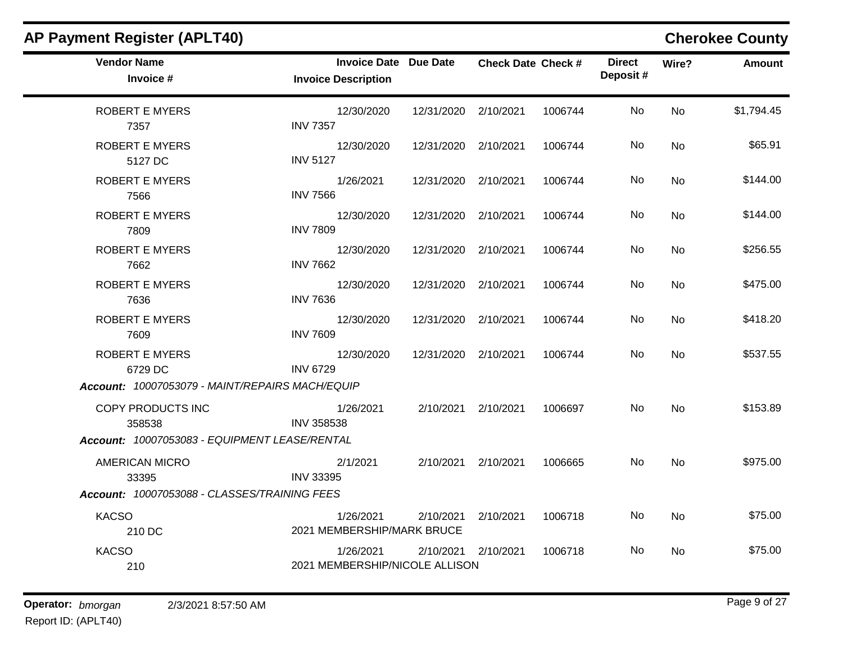| <b>AP Payment Register (APLT40)</b>                                            |                                                            |                      |                           |         |                           |           | <b>Cherokee County</b> |
|--------------------------------------------------------------------------------|------------------------------------------------------------|----------------------|---------------------------|---------|---------------------------|-----------|------------------------|
| <b>Vendor Name</b><br>Invoice #                                                | <b>Invoice Date Due Date</b><br><b>Invoice Description</b> |                      | <b>Check Date Check #</b> |         | <b>Direct</b><br>Deposit# | Wire?     | <b>Amount</b>          |
| <b>ROBERT E MYERS</b><br>7357                                                  | 12/30/2020<br><b>INV 7357</b>                              | 12/31/2020 2/10/2021 |                           | 1006744 | No                        | <b>No</b> | \$1,794.45             |
| <b>ROBERT E MYERS</b><br>5127 DC                                               | 12/30/2020<br><b>INV 5127</b>                              | 12/31/2020 2/10/2021 |                           | 1006744 | No                        | No.       | \$65.91                |
| <b>ROBERT E MYERS</b><br>7566                                                  | 1/26/2021<br><b>INV 7566</b>                               | 12/31/2020           | 2/10/2021                 | 1006744 | No                        | <b>No</b> | \$144.00               |
| <b>ROBERT E MYERS</b><br>7809                                                  | 12/30/2020<br><b>INV 7809</b>                              | 12/31/2020 2/10/2021 |                           | 1006744 | No                        | <b>No</b> | \$144.00               |
| <b>ROBERT E MYERS</b><br>7662                                                  | 12/30/2020<br><b>INV 7662</b>                              | 12/31/2020 2/10/2021 |                           | 1006744 | No.                       | <b>No</b> | \$256.55               |
| <b>ROBERT E MYERS</b><br>7636                                                  | 12/30/2020<br><b>INV 7636</b>                              | 12/31/2020           | 2/10/2021                 | 1006744 | No.                       | <b>No</b> | \$475.00               |
| <b>ROBERT E MYERS</b><br>7609                                                  | 12/30/2020<br><b>INV 7609</b>                              | 12/31/2020 2/10/2021 |                           | 1006744 | No.                       | <b>No</b> | \$418.20               |
| <b>ROBERT E MYERS</b><br>6729 DC                                               | 12/30/2020<br><b>INV 6729</b>                              | 12/31/2020           | 2/10/2021                 | 1006744 | No                        | <b>No</b> | \$537.55               |
| Account: 10007053079 - MAINT/REPAIRS MACH/EQUIP                                |                                                            |                      |                           |         |                           |           |                        |
| COPY PRODUCTS INC<br>358538<br>Account: 10007053083 - EQUIPMENT LEASE/RENTAL   | 1/26/2021<br><b>INV 358538</b>                             |                      | 2/10/2021 2/10/2021       | 1006697 | No                        | <b>No</b> | \$153.89               |
| <b>AMERICAN MICRO</b><br>33395<br>Account: 10007053088 - CLASSES/TRAINING FEES | 2/1/2021<br><b>INV 33395</b>                               |                      | 2/10/2021 2/10/2021       | 1006665 | No                        | No        | \$975.00               |
| <b>KACSO</b>                                                                   | 1/26/2021                                                  | 2/10/2021            | 2/10/2021                 | 1006718 | No.                       | <b>No</b> | \$75.00                |
| 210 DC                                                                         | 2021 MEMBERSHIP/MARK BRUCE                                 |                      |                           |         |                           |           |                        |
| <b>KACSO</b><br>210                                                            | 1/26/2021<br>2021 MEMBERSHIP/NICOLE ALLISON                |                      | 2/10/2021 2/10/2021       | 1006718 | No.                       | No.       | \$75.00                |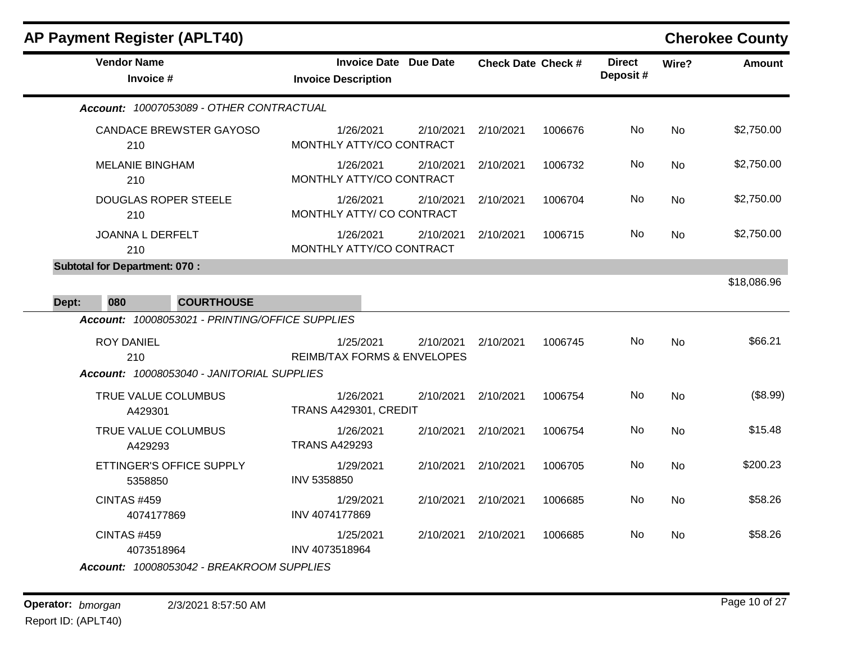| <b>Vendor Name</b><br>Invoice #                                               | <b>Invoice Date Due Date</b><br><b>Invoice Description</b>       | <b>Check Date Check #</b> | <b>Direct</b><br>Deposit# | Wire?     | <b>Amount</b> |
|-------------------------------------------------------------------------------|------------------------------------------------------------------|---------------------------|---------------------------|-----------|---------------|
| Account: 10007053089 - OTHER CONTRACTUAL                                      |                                                                  |                           |                           |           |               |
| <b>CANDACE BREWSTER GAYOSO</b><br>210                                         | 1/26/2021<br>2/10/2021<br>MONTHLY ATTY/CO CONTRACT               | 2/10/2021<br>1006676      | No                        | <b>No</b> | \$2,750.00    |
| <b>MELANIE BINGHAM</b><br>210                                                 | 1/26/2021<br>2/10/2021<br>MONTHLY ATTY/CO CONTRACT               | 2/10/2021<br>1006732      | No                        | <b>No</b> | \$2,750.00    |
| <b>DOUGLAS ROPER STEELE</b><br>210                                            | 1/26/2021<br>2/10/2021<br>MONTHLY ATTY/ CO CONTRACT              | 2/10/2021<br>1006704      | No                        | <b>No</b> | \$2,750.00    |
| <b>JOANNA L DERFELT</b><br>210                                                | 1/26/2021<br>2/10/2021<br>MONTHLY ATTY/CO CONTRACT               | 2/10/2021<br>1006715      | No                        | <b>No</b> | \$2,750.00    |
| <b>Subtotal for Department: 070:</b>                                          |                                                                  |                           |                           |           |               |
| 080<br><b>COURTHOUSE</b><br>Dept:                                             |                                                                  |                           |                           |           | \$18,086.96   |
| Account: 10008053021 - PRINTING/OFFICE SUPPLIES                               |                                                                  |                           |                           |           |               |
| <b>ROY DANIEL</b><br>210<br>Account: 10008053040 - JANITORIAL SUPPLIES        | 1/25/2021<br>2/10/2021<br><b>REIMB/TAX FORMS &amp; ENVELOPES</b> | 1006745<br>2/10/2021      | No                        | <b>No</b> | \$66.21       |
| TRUE VALUE COLUMBUS<br>A429301                                                | 1/26/2021<br>2/10/2021<br>TRANS A429301, CREDIT                  | 2/10/2021<br>1006754      | No                        | <b>No</b> | (\$8.99)      |
| TRUE VALUE COLUMBUS<br>A429293                                                | 1/26/2021<br>2/10/2021<br><b>TRANS A429293</b>                   | 2/10/2021<br>1006754      | No                        | <b>No</b> | \$15.48       |
| ETTINGER'S OFFICE SUPPLY<br>5358850                                           | 2/10/2021<br>1/29/2021<br>INV 5358850                            | 2/10/2021<br>1006705      | No.                       | <b>No</b> | \$200.23      |
| <b>CINTAS #459</b><br>4074177869                                              | 1/29/2021<br>2/10/2021<br>INV 4074177869                         | 2/10/2021<br>1006685      | <b>No</b>                 | <b>No</b> | \$58.26       |
| <b>CINTAS #459</b><br>4073518964<br>Account: 10008053042 - BREAKROOM SUPPLIES | 1/25/2021<br>2/10/2021<br>INV 4073518964                         | 2/10/2021<br>1006685      | No.                       | <b>No</b> | \$58.26       |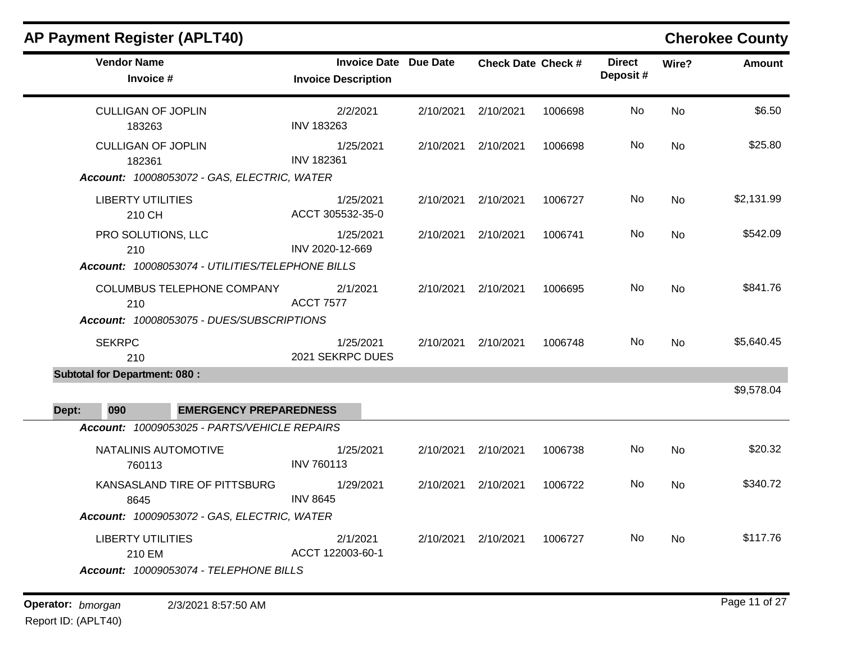### **AP Payment Register (APLT40) Cherokee County Vendor Name Invoice Date Due Date Check Date Invoice # Check Date Check # Invoice Description Direct Wire? Amount Deposit #** CULLIGAN OF JOPLIN 183263 2/2/2021 2/10/2021 2/10/2021 1006698 No \$6.50 INV 183263 No CULLIGAN OF JOPLIN 182361 1/25/2021 2/10/2021 2/10/2021 1006698 No \$25.80 INV 182361 No *Account: 10008053072 - GAS, ELECTRIC, WATER* LIBERTY UTILITIES 210 CH 1/25/2021 2/10/2021 2/10/2021 1006727 No \$2,131.99 ACCT 305532-35-0 No PRO SOLUTIONS, LLC 210 1/25/2021 2/10/2021 2/10/2021 1006741 No \$542.09 INV 2020-12-669 No *Account: 10008053074 - UTILITIES/TELEPHONE BILLS* COLUMBUS TELEPHONE COMPANY 210 2/1/2021 2/10/2021 2/10/2021 1006695 No \$841.76 ACCT 7577 No *Account: 10008053075 - DUES/SUBSCRIPTIONS* SEKRPC 210 1/25/2021 2/10/2021 2/10/2021 1006748 No \$5,640.45 2021 SEKRPC DUES No **Subtotal for Department: 080 :**  \$9,578.04 **Dept: 090 EMERGENCY PREPAREDNESS** *Account: 10009053025 - PARTS/VEHICLE REPAIRS* NATALINIS AUTOMOTIVE 760113 1/25/2021 2/10/2021 2/10/2021 1006738 No \$20.32 INV 760113 No KANSASLAND TIRE OF PITTSBURG 8645 1/29/2021 2/10/2021 2/10/2021 1006722 No \$340.72 INV 8645 No *Account: 10009053072 - GAS, ELECTRIC, WATER* LIBERTY UTILITIES 210 EM 2/1/2021 2/10/2021 2/10/2021 1006727 No \$117.76 ACCT 122003-60-1 No *Account: 10009053074 - TELEPHONE BILLS*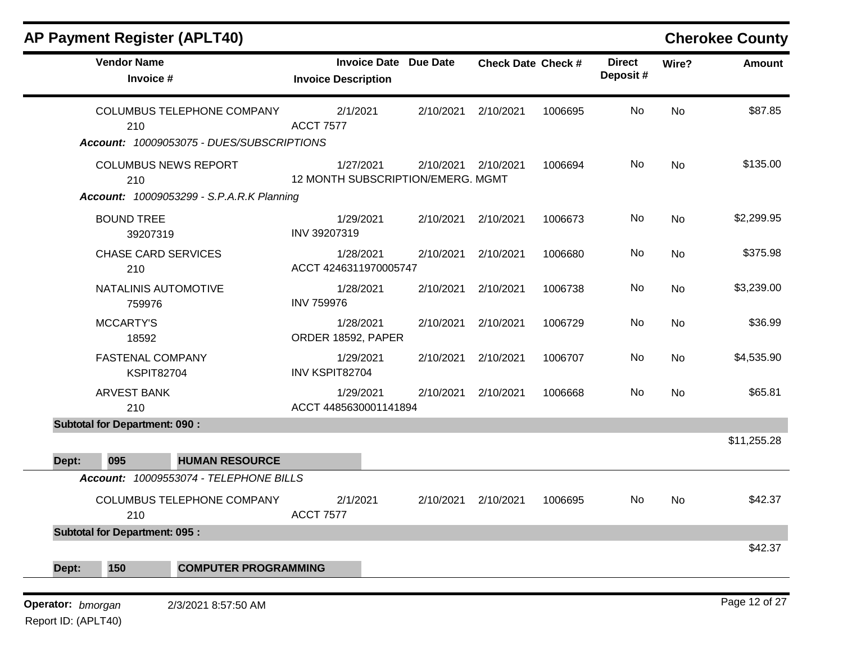| <b>AP Payment Register (APLT40)</b>                                                    |                                                            |           |                           |         |                           |           | <b>Cherokee County</b> |
|----------------------------------------------------------------------------------------|------------------------------------------------------------|-----------|---------------------------|---------|---------------------------|-----------|------------------------|
| <b>Vendor Name</b><br>Invoice #                                                        | <b>Invoice Date Due Date</b><br><b>Invoice Description</b> |           | <b>Check Date Check #</b> |         | <b>Direct</b><br>Deposit# | Wire?     | <b>Amount</b>          |
| COLUMBUS TELEPHONE COMPANY<br>210<br>Account: 10009053075 - DUES/SUBSCRIPTIONS         | 2/1/2021<br><b>ACCT 7577</b>                               | 2/10/2021 | 2/10/2021                 | 1006695 | No                        | <b>No</b> | \$87.85                |
| <b>COLUMBUS NEWS REPORT</b><br>210<br><b>Account: 10009053299 - S.P.A.R.K Planning</b> | 1/27/2021<br>12 MONTH SUBSCRIPTION/EMERG. MGMT             | 2/10/2021 | 2/10/2021                 | 1006694 | No                        | <b>No</b> | \$135.00               |
| <b>BOUND TREE</b><br>39207319                                                          | 1/29/2021<br>INV 39207319                                  | 2/10/2021 | 2/10/2021                 | 1006673 | No                        | No        | \$2,299.95             |
| <b>CHASE CARD SERVICES</b><br>210                                                      | 1/28/2021<br>ACCT 4246311970005747                         | 2/10/2021 | 2/10/2021                 | 1006680 | No                        | No        | \$375.98               |
| NATALINIS AUTOMOTIVE<br>759976                                                         | 1/28/2021<br><b>INV 759976</b>                             | 2/10/2021 | 2/10/2021                 | 1006738 | No                        | No        | \$3,239.00             |
| <b>MCCARTY'S</b><br>18592                                                              | 1/28/2021<br>ORDER 18592, PAPER                            | 2/10/2021 | 2/10/2021                 | 1006729 | No                        | No        | \$36.99                |
| <b>FASTENAL COMPANY</b><br><b>KSPIT82704</b>                                           | 1/29/2021<br>INV KSPIT82704                                | 2/10/2021 | 2/10/2021                 | 1006707 | No                        | No        | \$4,535.90             |
| <b>ARVEST BANK</b><br>210                                                              | 1/29/2021<br>ACCT 4485630001141894                         | 2/10/2021 | 2/10/2021                 | 1006668 | No                        | No        | \$65.81                |
| <b>Subtotal for Department: 090:</b><br>095<br><b>HUMAN RESOURCE</b><br>Dept:          |                                                            |           |                           |         |                           |           | \$11,255.28            |
| Account: 10009553074 - TELEPHONE BILLS                                                 |                                                            |           |                           |         |                           |           |                        |
| COLUMBUS TELEPHONE COMPANY<br>210                                                      | 2/1/2021<br><b>ACCT 7577</b>                               | 2/10/2021 | 2/10/2021                 | 1006695 | No                        | No        | \$42.37                |
| <b>Subtotal for Department: 095:</b>                                                   |                                                            |           |                           |         |                           |           |                        |
| 150<br>Dept:<br><b>COMPUTER PROGRAMMING</b>                                            |                                                            |           |                           |         |                           |           | \$42.37                |
| Operator: bmorgan<br>2/3/2021 8:57:50 AM<br>Report ID: (APLT40)                        |                                                            |           |                           |         |                           |           | Page 12 of 27          |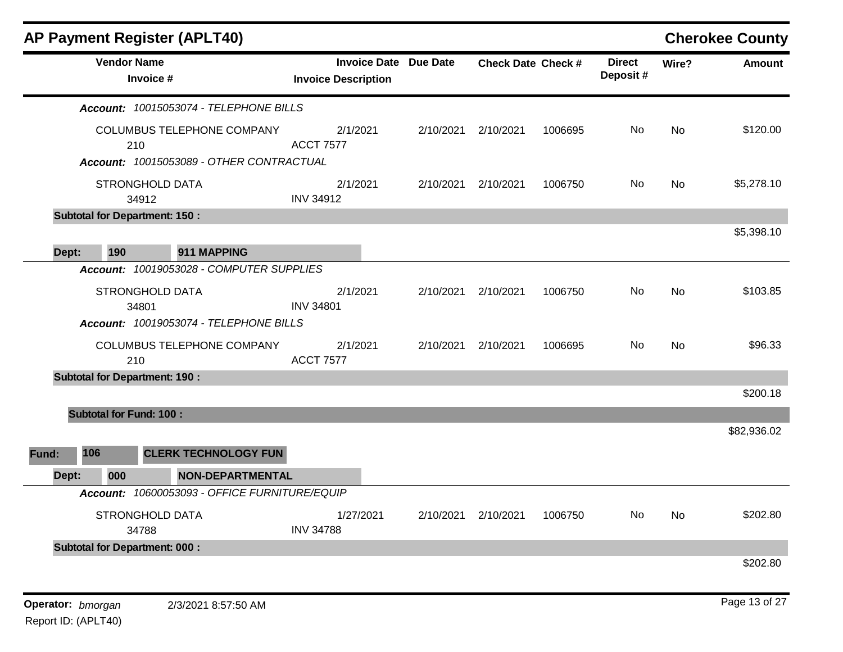| <b>AP Payment Register (APLT40)</b>                                  |                                                            |           |                           |         |                           |           | <b>Cherokee County</b> |
|----------------------------------------------------------------------|------------------------------------------------------------|-----------|---------------------------|---------|---------------------------|-----------|------------------------|
| <b>Vendor Name</b><br>Invoice #                                      | <b>Invoice Date Due Date</b><br><b>Invoice Description</b> |           | <b>Check Date Check #</b> |         | <b>Direct</b><br>Deposit# | Wire?     | <b>Amount</b>          |
| Account: 10015053074 - TELEPHONE BILLS                               |                                                            |           |                           |         |                           |           |                        |
| COLUMBUS TELEPHONE COMPANY<br>210                                    | 2/1/2021<br><b>ACCT 7577</b>                               | 2/10/2021 | 2/10/2021                 | 1006695 | No                        | No        | \$120.00               |
| Account: 10015053089 - OTHER CONTRACTUAL<br>STRONGHOLD DATA<br>34912 | 2/1/2021<br><b>INV 34912</b>                               | 2/10/2021 | 2/10/2021                 | 1006750 | No                        | No        | \$5,278.10             |
| <b>Subtotal for Department: 150:</b>                                 |                                                            |           |                           |         |                           |           |                        |
| 190<br>911 MAPPING<br>Dept:                                          |                                                            |           |                           |         |                           |           | \$5,398.10             |
| Account: 10019053028 - COMPUTER SUPPLIES                             |                                                            |           |                           |         |                           |           |                        |
| STRONGHOLD DATA<br>34801                                             | 2/1/2021<br><b>INV 34801</b>                               | 2/10/2021 | 2/10/2021                 | 1006750 | No.                       | <b>No</b> | \$103.85               |
| Account: 10019053074 - TELEPHONE BILLS                               |                                                            |           |                           |         |                           |           |                        |
| COLUMBUS TELEPHONE COMPANY<br>210                                    | 2/1/2021<br><b>ACCT 7577</b>                               | 2/10/2021 | 2/10/2021                 | 1006695 | No                        | No        | \$96.33                |
| <b>Subtotal for Department: 190:</b>                                 |                                                            |           |                           |         |                           |           | \$200.18               |
| <b>Subtotal for Fund: 100:</b>                                       |                                                            |           |                           |         |                           |           |                        |
|                                                                      |                                                            |           |                           |         |                           |           | \$82,936.02            |
| 106<br><b>CLERK TECHNOLOGY FUN</b><br>Fund:                          |                                                            |           |                           |         |                           |           |                        |
| Dept:<br>000<br><b>NON-DEPARTMENTAL</b>                              |                                                            |           |                           |         |                           |           |                        |
| Account: 10600053093 - OFFICE FURNITURE/EQUIP                        |                                                            |           |                           |         |                           |           |                        |
| STRONGHOLD DATA<br>34788                                             | 1/27/2021<br><b>INV 34788</b>                              | 2/10/2021 | 2/10/2021                 | 1006750 | No.                       | <b>No</b> | \$202.80               |
| <b>Subtotal for Department: 000:</b>                                 |                                                            |           |                           |         |                           |           |                        |
|                                                                      |                                                            |           |                           |         |                           |           | \$202.80               |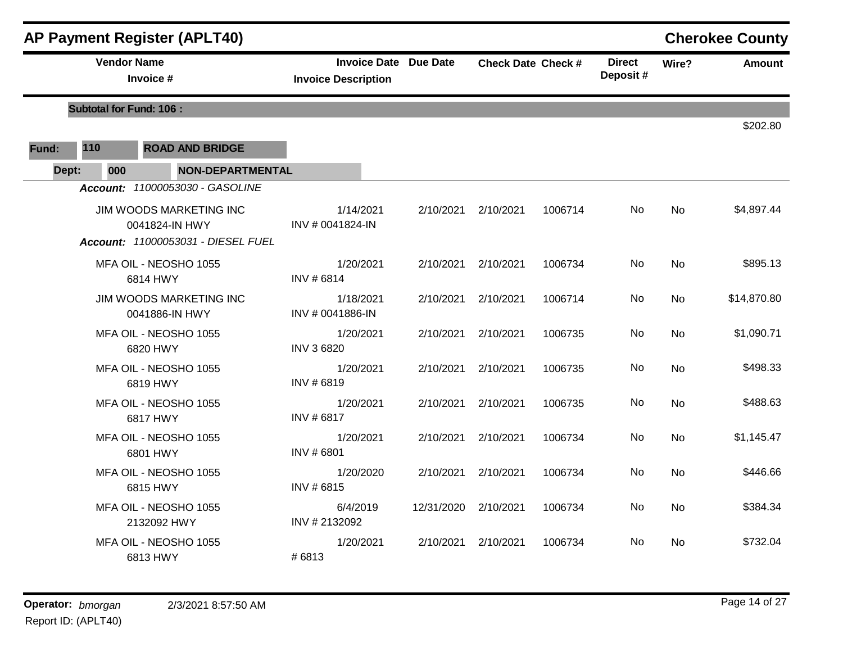|       |                                | <b>AP Payment Register (APLT40)</b>       |                                                            |            |                           |         |                           |           | <b>Cherokee County</b> |
|-------|--------------------------------|-------------------------------------------|------------------------------------------------------------|------------|---------------------------|---------|---------------------------|-----------|------------------------|
|       | <b>Vendor Name</b>             | Invoice #                                 | <b>Invoice Date Due Date</b><br><b>Invoice Description</b> |            | <b>Check Date Check #</b> |         | <b>Direct</b><br>Deposit# | Wire?     | <b>Amount</b>          |
|       | <b>Subtotal for Fund: 106:</b> |                                           |                                                            |            |                           |         |                           |           |                        |
|       |                                |                                           |                                                            |            |                           |         |                           |           | \$202.80               |
| Fund: | 110                            | <b>ROAD AND BRIDGE</b>                    |                                                            |            |                           |         |                           |           |                        |
| Dept: | 000                            | <b>NON-DEPARTMENTAL</b>                   |                                                            |            |                           |         |                           |           |                        |
|       |                                | Account: 11000053030 - GASOLINE           |                                                            |            |                           |         |                           |           |                        |
|       |                                | JIM WOODS MARKETING INC<br>0041824-IN HWY | 1/14/2021<br>INV # 0041824-IN                              | 2/10/2021  | 2/10/2021                 | 1006714 | No.                       | <b>No</b> | \$4,897.44             |
|       |                                | Account: 11000053031 - DIESEL FUEL        |                                                            |            |                           |         |                           |           |                        |
|       |                                | MFA OIL - NEOSHO 1055<br>6814 HWY         | 1/20/2021<br>INV #6814                                     | 2/10/2021  | 2/10/2021                 | 1006734 | No                        | <b>No</b> | \$895.13               |
|       |                                | JIM WOODS MARKETING INC<br>0041886-IN HWY | 1/18/2021<br>INV # 0041886-IN                              | 2/10/2021  | 2/10/2021                 | 1006714 | No.                       | No        | \$14,870.80            |
|       |                                | MFA OIL - NEOSHO 1055<br>6820 HWY         | 1/20/2021<br><b>INV 3 6820</b>                             | 2/10/2021  | 2/10/2021                 | 1006735 | No                        | <b>No</b> | \$1,090.71             |
|       |                                | MFA OIL - NEOSHO 1055<br>6819 HWY         | 1/20/2021<br>INV #6819                                     | 2/10/2021  | 2/10/2021                 | 1006735 | No.                       | <b>No</b> | \$498.33               |
|       |                                | MFA OIL - NEOSHO 1055<br>6817 HWY         | 1/20/2021<br>INV # 6817                                    | 2/10/2021  | 2/10/2021                 | 1006735 | No                        | <b>No</b> | \$488.63               |
|       |                                | MFA OIL - NEOSHO 1055<br>6801 HWY         | 1/20/2021<br>INV #6801                                     | 2/10/2021  | 2/10/2021                 | 1006734 | No.                       | <b>No</b> | \$1,145.47             |
|       |                                | MFA OIL - NEOSHO 1055<br>6815 HWY         | 1/20/2020<br>INV #6815                                     | 2/10/2021  | 2/10/2021                 | 1006734 | No                        | <b>No</b> | \$446.66               |
|       |                                | MFA OIL - NEOSHO 1055<br>2132092 HWY      | 6/4/2019<br>INV #2132092                                   | 12/31/2020 | 2/10/2021                 | 1006734 | No                        | <b>No</b> | \$384.34               |
|       |                                | MFA OIL - NEOSHO 1055<br>6813 HWY         | 1/20/2021<br>#6813                                         | 2/10/2021  | 2/10/2021                 | 1006734 | No                        | No        | \$732.04               |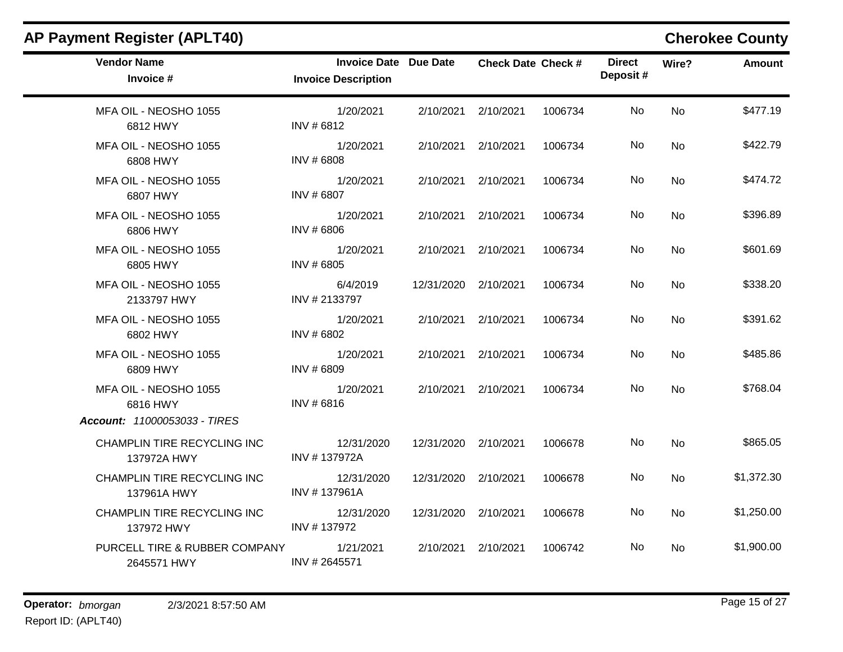| <b>AP Payment Register (APLT40)</b>          |                                                            |                      |                           |         |                           |           | <b>Cherokee County</b> |
|----------------------------------------------|------------------------------------------------------------|----------------------|---------------------------|---------|---------------------------|-----------|------------------------|
| <b>Vendor Name</b><br>Invoice #              | <b>Invoice Date Due Date</b><br><b>Invoice Description</b> |                      | <b>Check Date Check #</b> |         | <b>Direct</b><br>Deposit# | Wire?     | Amount                 |
| MFA OIL - NEOSHO 1055<br>6812 HWY            | 1/20/2021<br>INV #6812                                     | 2/10/2021            | 2/10/2021                 | 1006734 | No.                       | <b>No</b> | \$477.19               |
| MFA OIL - NEOSHO 1055<br>6808 HWY            | 1/20/2021<br>INV #6808                                     | 2/10/2021            | 2/10/2021                 | 1006734 | No.                       | No        | \$422.79               |
| MFA OIL - NEOSHO 1055<br>6807 HWY            | 1/20/2021<br>INV #6807                                     | 2/10/2021            | 2/10/2021                 | 1006734 | No                        | No        | \$474.72               |
| MFA OIL - NEOSHO 1055<br>6806 HWY            | 1/20/2021<br>INV #6806                                     | 2/10/2021            | 2/10/2021                 | 1006734 | No                        | No.       | \$396.89               |
| MFA OIL - NEOSHO 1055<br>6805 HWY            | 1/20/2021<br>INV # 6805                                    | 2/10/2021            | 2/10/2021                 | 1006734 | No.                       | <b>No</b> | \$601.69               |
| MFA OIL - NEOSHO 1055<br>2133797 HWY         | 6/4/2019<br>INV #2133797                                   | 12/31/2020 2/10/2021 |                           | 1006734 | No                        | <b>No</b> | \$338.20               |
| MFA OIL - NEOSHO 1055<br>6802 HWY            | 1/20/2021<br>INV # 6802                                    | 2/10/2021            | 2/10/2021                 | 1006734 | No                        | No        | \$391.62               |
| MFA OIL - NEOSHO 1055<br>6809 HWY            | 1/20/2021<br>INV #6809                                     | 2/10/2021            | 2/10/2021                 | 1006734 | No.                       | <b>No</b> | \$485.86               |
| MFA OIL - NEOSHO 1055<br>6816 HWY            | 1/20/2021<br>INV # 6816                                    |                      | 2/10/2021 2/10/2021       | 1006734 | No                        | <b>No</b> | \$768.04               |
| Account: 11000053033 - TIRES                 |                                                            |                      |                           |         |                           |           |                        |
| CHAMPLIN TIRE RECYCLING INC<br>137972A HWY   | 12/31/2020<br>INV #137972A                                 | 12/31/2020           | 2/10/2021                 | 1006678 | No                        | <b>No</b> | \$865.05               |
| CHAMPLIN TIRE RECYCLING INC<br>137961A HWY   | 12/31/2020<br>INV #137961A                                 | 12/31/2020 2/10/2021 |                           | 1006678 | No                        | No        | \$1,372.30             |
| CHAMPLIN TIRE RECYCLING INC<br>137972 HWY    | 12/31/2020<br>INV #137972                                  | 12/31/2020 2/10/2021 |                           | 1006678 | No                        | No        | \$1,250.00             |
| PURCELL TIRE & RUBBER COMPANY<br>2645571 HWY | 1/21/2021<br>INV # 2645571                                 | 2/10/2021            | 2/10/2021                 | 1006742 | No.                       | No        | \$1,900.00             |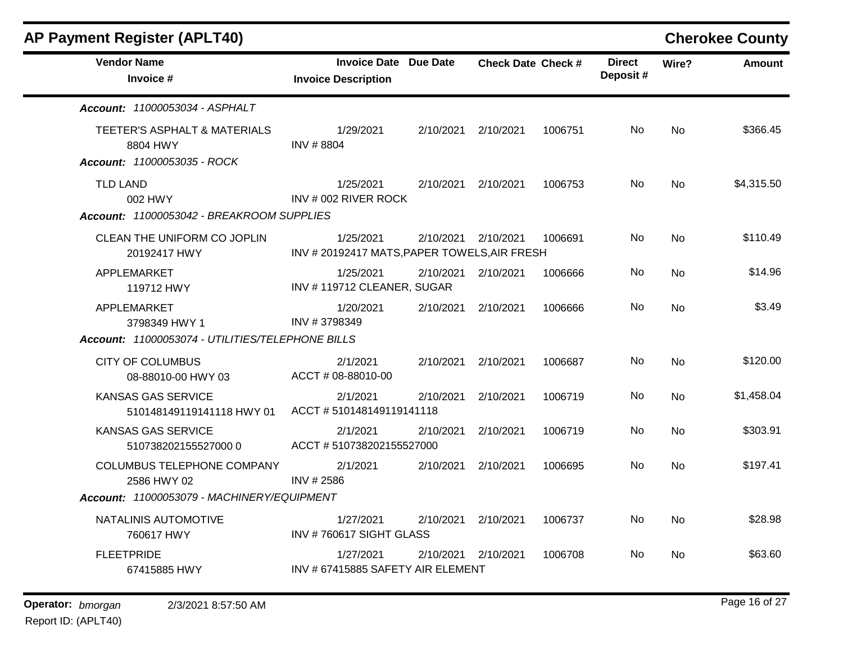| <b>AP Payment Register (APLT40)</b>                                     |                                                            |           |                           |         |                           |           | <b>Cherokee County</b> |
|-------------------------------------------------------------------------|------------------------------------------------------------|-----------|---------------------------|---------|---------------------------|-----------|------------------------|
| <b>Vendor Name</b><br>Invoice #                                         | <b>Invoice Date Due Date</b><br><b>Invoice Description</b> |           | <b>Check Date Check #</b> |         | <b>Direct</b><br>Deposit# | Wire?     | <b>Amount</b>          |
| Account: 11000053034 - ASPHALT                                          |                                                            |           |                           |         |                           |           |                        |
| TEETER'S ASPHALT & MATERIALS<br>8804 HWY<br>Account: 11000053035 - ROCK | 1/29/2021<br>INV #8804                                     | 2/10/2021 | 2/10/2021                 | 1006751 | No                        | <b>No</b> | \$366.45               |
| <b>TLD LAND</b><br>002 HWY<br>Account: 11000053042 - BREAKROOM SUPPLIES | 1/25/2021<br>INV # 002 RIVER ROCK                          | 2/10/2021 | 2/10/2021                 | 1006753 | No                        | No        | \$4,315.50             |
| CLEAN THE UNIFORM CO JOPLIN<br>20192417 HWY                             | 1/25/2021<br>INV #20192417 MATS, PAPER TOWELS, AIR FRESH   | 2/10/2021 | 2/10/2021                 | 1006691 | No                        | <b>No</b> | \$110.49               |
| APPLEMARKET<br>119712 HWY                                               | 1/25/2021<br>INV #119712 CLEANER, SUGAR                    | 2/10/2021 | 2/10/2021                 | 1006666 | No                        | No        | \$14.96                |
| APPLEMARKET<br>3798349 HWY 1                                            | 1/20/2021<br>INV #3798349                                  | 2/10/2021 | 2/10/2021                 | 1006666 | No                        | <b>No</b> | \$3.49                 |
| Account: 11000053074 - UTILITIES/TELEPHONE BILLS                        |                                                            |           |                           |         |                           |           |                        |
| <b>CITY OF COLUMBUS</b><br>08-88010-00 HWY 03                           | 2/1/2021<br>ACCT # 08-88010-00                             | 2/10/2021 | 2/10/2021                 | 1006687 | No                        | <b>No</b> | \$120.00               |
| KANSAS GAS SERVICE<br>510148149119141118 HWY 01                         | 2/1/2021<br>ACCT #510148149119141118                       | 2/10/2021 | 2/10/2021                 | 1006719 | No                        | No        | \$1,458.04             |
| <b>KANSAS GAS SERVICE</b><br>5107382021555270000                        | 2/1/2021<br>ACCT #510738202155527000                       | 2/10/2021 | 2/10/2021                 | 1006719 | No                        | No        | \$303.91               |
| COLUMBUS TELEPHONE COMPANY<br>2586 HWY 02                               | 2/1/2021<br>INV # 2586                                     | 2/10/2021 | 2/10/2021                 | 1006695 | No                        | No        | \$197.41               |
| Account: 11000053079 - MACHINERY/EQUIPMENT                              |                                                            |           |                           |         |                           |           |                        |
| NATALINIS AUTOMOTIVE<br>760617 HWY                                      | 1/27/2021<br>INV #760617 SIGHT GLASS                       | 2/10/2021 | 2/10/2021                 | 1006737 | No                        | No        | \$28.98                |
| <b>FLEETPRIDE</b><br>67415885 HWY                                       | 1/27/2021<br>INV # 67415885 SAFETY AIR ELEMENT             |           | 2/10/2021 2/10/2021       | 1006708 | No                        | No        | \$63.60                |
|                                                                         |                                                            |           |                           |         |                           |           |                        |

### **Operator:** bmorgan 2/3/2021 8:57:50 AM **bigger 20 and 27 contract 27 bigger 20 and 27 bigger 20 and 27 bigger 20 and 27**

Report ID: (APLT40)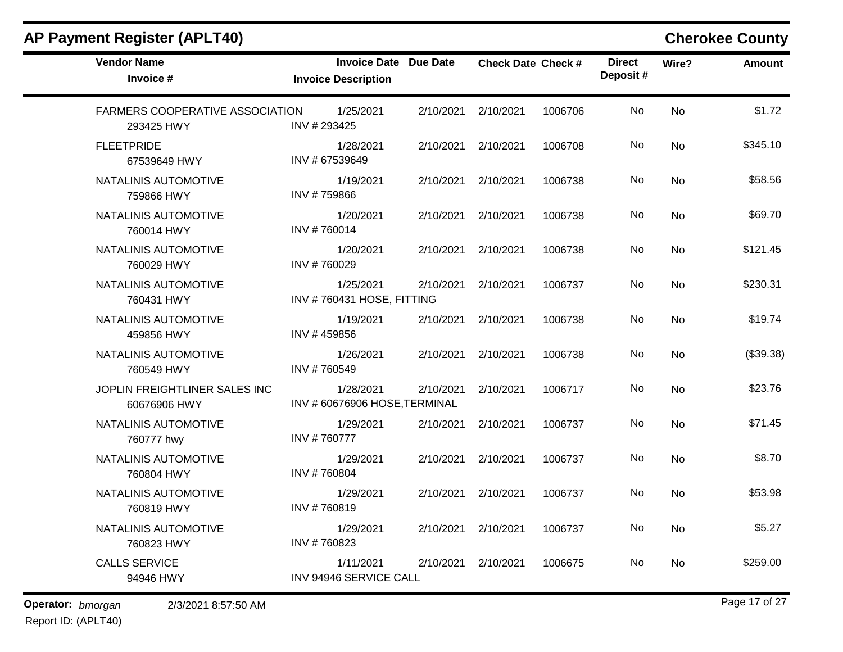| <b>Invoice Description</b>  |                                        |                                                                                                                     |           | <b>Direct</b><br>Deposit# | Wire?     | <b>Amount</b> |
|-----------------------------|----------------------------------------|---------------------------------------------------------------------------------------------------------------------|-----------|---------------------------|-----------|---------------|
| 1/25/2021<br>INV #293425    | 2/10/2021                              | 2/10/2021                                                                                                           | 1006706   | No                        | <b>No</b> | \$1.72        |
| 1/28/2021<br>INV # 67539649 |                                        | 2/10/2021                                                                                                           | 1006708   | No                        | <b>No</b> | \$345.10      |
| 1/19/2021<br>INV #759866    | 2/10/2021                              | 2/10/2021                                                                                                           | 1006738   | <b>No</b>                 | <b>No</b> | \$58.56       |
| 1/20/2021<br>INV #760014    | 2/10/2021                              | 2/10/2021                                                                                                           | 1006738   | No                        | No        | \$69.70       |
| 1/20/2021<br>INV #760029    | 2/10/2021                              | 2/10/2021                                                                                                           | 1006738   | No.                       | <b>No</b> | \$121.45      |
| 1/25/2021                   | 2/10/2021                              | 2/10/2021                                                                                                           | 1006737   | No                        | <b>No</b> | \$230.31      |
| 1/19/2021<br>INV #459856    | 2/10/2021                              | 2/10/2021                                                                                                           | 1006738   | No                        | <b>No</b> | \$19.74       |
| 1/26/2021<br>INV #760549    | 2/10/2021                              | 2/10/2021                                                                                                           | 1006738   | No                        | <b>No</b> | (\$39.38)     |
| 1/28/2021                   | 2/10/2021                              | 2/10/2021                                                                                                           | 1006717   | No                        | <b>No</b> | \$23.76       |
| 1/29/2021<br>INV #760777    | 2/10/2021                              | 2/10/2021                                                                                                           | 1006737   | No                        | <b>No</b> | \$71.45       |
| 1/29/2021<br>INV #760804    | 2/10/2021                              | 2/10/2021                                                                                                           | 1006737   | No                        | <b>No</b> | \$8.70        |
| 1/29/2021<br>INV #760819    | 2/10/2021                              | 2/10/2021                                                                                                           | 1006737   | No                        | <b>No</b> | \$53.98       |
| 1/29/2021<br>INV #760823    | 2/10/2021                              | 2/10/2021                                                                                                           | 1006737   | No                        | <b>No</b> | \$5.27        |
| 1/11/2021                   | 2/10/2021                              | 2/10/2021                                                                                                           | 1006675   | No                        | <b>No</b> | \$259.00      |
|                             | <b>FARMERS COOPERATIVE ASSOCIATION</b> | <b>Invoice Date Due Date</b><br>INV #760431 HOSE, FITTING<br>INV #60676906 HOSE, TERMINAL<br>INV 94946 SERVICE CALL | 2/10/2021 | <b>Check Date Check #</b> |           |               |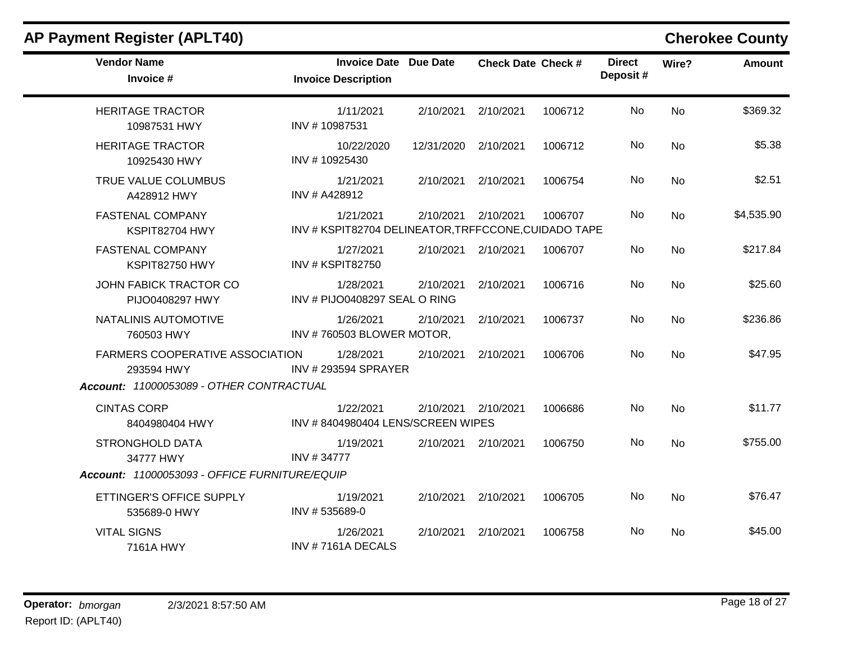### **Vendor Name Invoice Date Due Date Check Date Invoice # Check Date Check # Invoice Description Direct Wire? Amount Deposit #** HERITAGE TRACTOR 10987531 HWY 1/11/2021 2/10/2021 2/10/2021 1006712 No \$369.32 INV # 10987531 No HERITAGE TRACTOR 10925430 HWY 10/22/2020 12/31/2020 2/10/2021 1006712 No \$5.38 INV # 10925430 No TRUE VALUE COLUMBUS A428912 HWY 1/21/2021 2/10/2021 2/10/2021 1006754 No \$2.51 INV # A428912 No FASTENAL COMPANY KSPIT82704 HWY 1/21/2021 2/10/2021 2/10/2021 1006707 No \$4,535.90 INV # KSPIT82704 DELINEATOR,TRFFCCONE,CUIDADO TAPE No FASTENAL COMPANY KSPIT82750 HWY 1/27/2021 2/10/2021 2/10/2021 1006707 No \$217.84 INV # KSPIT82750 No JOHN FABICK TRACTOR CO PIJO0408297 HWY 1/28/2021 2/10/2021 2/10/2021 1006716 No \$25.60 INV # PIJO0408297 SEAL O RING No NATALINIS AUTOMOTIVE 760503 HWY 1/26/2021 2/10/2021 2/10/2021 1006737 No \$236.86 INV # 760503 BLOWER MOTOR, No FARMERS COOPERATIVE ASSOCIATION 293594 HWY 1/28/2021 2/10/2021 2/10/2021 1006706 No \$47.95 INV # 293594 SPRAYER No *Account: 11000053089 - OTHER CONTRACTUAL* CINTAS CORP 8404980404 HWY 1/22/2021 2/10/2021 2/10/2021 1006686 No \$11.77 INV # 8404980404 LENS/SCREEN WIPES No STRONGHOLD DATA 34777 HWY 1/19/2021 2/10/2021 2/10/2021 1006750 No \$755.00 INV # 34777 No *Account: 11000053093 - OFFICE FURNITURE/EQUIP* ETTINGER'S OFFICE SUPPLY 535689-0 HWY 1/19/2021 2/10/2021 2/10/2021 1006705 No \$76.47 INV # 535689-0 No VITAL SIGNS 7161A HWY 1/26/2021 2/10/2021 2/10/2021 1006758 No \$45.00 INV # 7161A DECALS No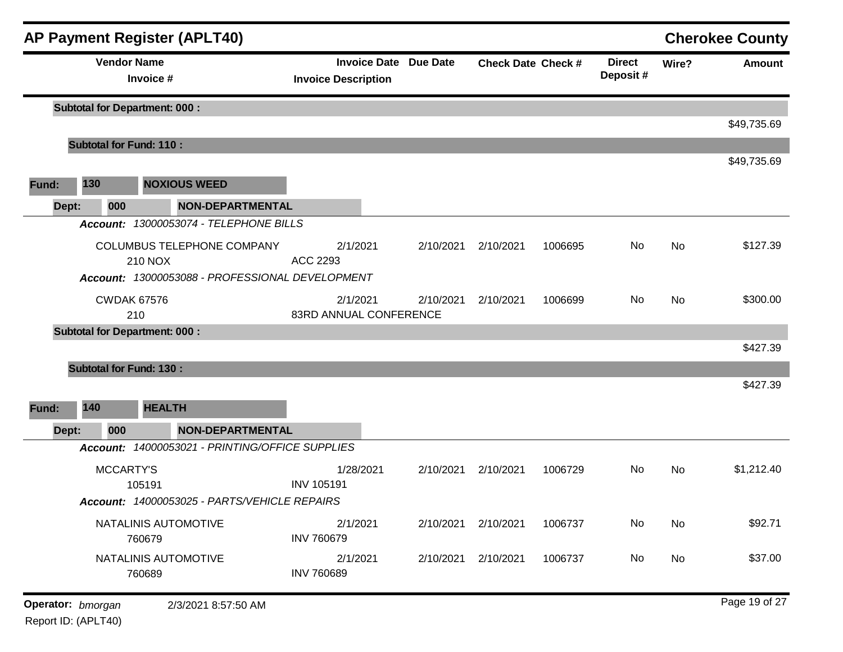|       |                   | <b>AP Payment Register (APLT40)</b>                                                             |                                                            |           |                           |         |                            |           | <b>Cherokee County</b> |
|-------|-------------------|-------------------------------------------------------------------------------------------------|------------------------------------------------------------|-----------|---------------------------|---------|----------------------------|-----------|------------------------|
|       |                   | <b>Vendor Name</b><br>Invoice #                                                                 | <b>Invoice Date Due Date</b><br><b>Invoice Description</b> |           | <b>Check Date Check #</b> |         | <b>Direct</b><br>Deposit # | Wire?     | <b>Amount</b>          |
|       |                   | <b>Subtotal for Department: 000:</b>                                                            |                                                            |           |                           |         |                            |           | \$49,735.69            |
|       |                   | <b>Subtotal for Fund: 110:</b>                                                                  |                                                            |           |                           |         |                            |           |                        |
| Fund: | 130               | <b>NOXIOUS WEED</b>                                                                             |                                                            |           |                           |         |                            |           | \$49,735.69            |
| Dept: | 000               | <b>NON-DEPARTMENTAL</b>                                                                         |                                                            |           |                           |         |                            |           |                        |
|       |                   | Account: 13000053074 - TELEPHONE BILLS                                                          |                                                            |           |                           |         |                            |           |                        |
|       |                   | COLUMBUS TELEPHONE COMPANY<br><b>210 NOX</b><br>Account: 13000053088 - PROFESSIONAL DEVELOPMENT | 2/1/2021<br>ACC 2293                                       | 2/10/2021 | 2/10/2021                 | 1006695 | No                         | <b>No</b> | \$127.39               |
|       |                   | <b>CWDAK 67576</b><br>210                                                                       | 2/1/2021<br>83RD ANNUAL CONFERENCE                         | 2/10/2021 | 2/10/2021                 | 1006699 | No                         | <b>No</b> | \$300.00               |
|       |                   | <b>Subtotal for Department: 000:</b>                                                            |                                                            |           |                           |         |                            |           |                        |
|       |                   | <b>Subtotal for Fund: 130:</b>                                                                  |                                                            |           |                           |         |                            |           | \$427.39               |
|       |                   |                                                                                                 |                                                            |           |                           |         |                            |           | \$427.39               |
| Fund: | 140               | <b>HEALTH</b>                                                                                   |                                                            |           |                           |         |                            |           |                        |
| Dept: | 000               | <b>NON-DEPARTMENTAL</b>                                                                         |                                                            |           |                           |         |                            |           |                        |
|       |                   | Account: 14000053021 - PRINTING/OFFICE SUPPLIES                                                 |                                                            |           |                           |         |                            |           |                        |
|       |                   | MCCARTY'S<br>105191                                                                             | 1/28/2021<br><b>INV 105191</b>                             | 2/10/2021 | 2/10/2021                 | 1006729 | No                         | No        | \$1,212.40             |
|       |                   | Account: 14000053025 - PARTS/VEHICLE REPAIRS                                                    |                                                            |           |                           |         |                            |           |                        |
|       |                   | NATALINIS AUTOMOTIVE<br>760679                                                                  | 2/1/2021<br><b>INV 760679</b>                              | 2/10/2021 | 2/10/2021                 | 1006737 | No                         | No        | \$92.71                |
|       |                   | NATALINIS AUTOMOTIVE<br>760689                                                                  | 2/1/2021<br><b>INV 760689</b>                              | 2/10/2021 | 2/10/2021                 | 1006737 | No                         | No        | \$37.00                |
|       | Operator: bmorgan | 2/3/2021 8:57:50 AM                                                                             |                                                            |           |                           |         |                            |           | Page 19 of 27          |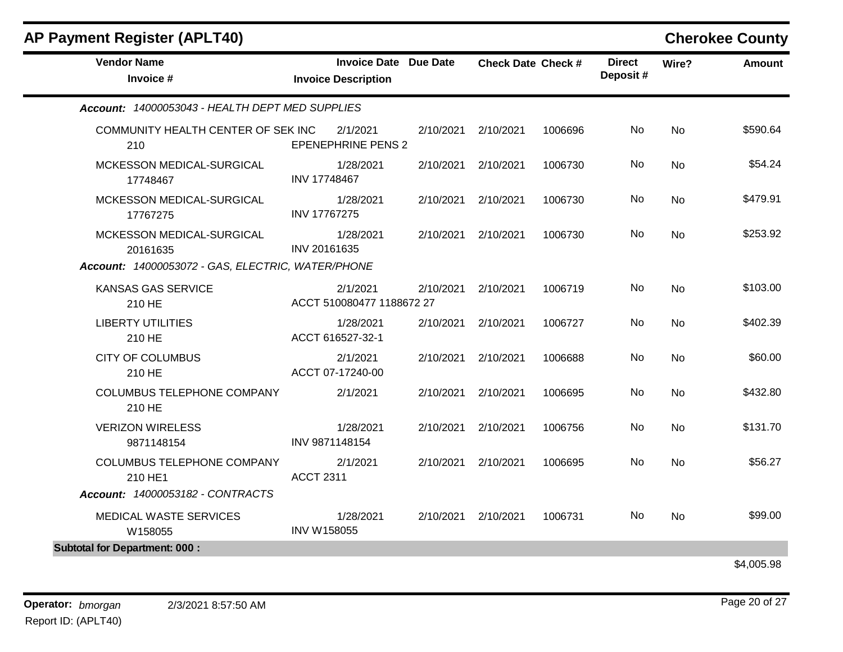| <b>AP Payment Register (APLT40)</b>                                                        |                                                            |           |                           |         |                           |           | <b>Cherokee County</b> |
|--------------------------------------------------------------------------------------------|------------------------------------------------------------|-----------|---------------------------|---------|---------------------------|-----------|------------------------|
| <b>Vendor Name</b><br>Invoice #                                                            | <b>Invoice Date Due Date</b><br><b>Invoice Description</b> |           | <b>Check Date Check #</b> |         | <b>Direct</b><br>Deposit# | Wire?     | <b>Amount</b>          |
| Account: 14000053043 - HEALTH DEPT MED SUPPLIES                                            |                                                            |           |                           |         |                           |           |                        |
| COMMUNITY HEALTH CENTER OF SEK INC<br>210                                                  | 2/1/2021<br><b>EPENEPHRINE PENS 2</b>                      | 2/10/2021 | 2/10/2021                 | 1006696 | No.                       | <b>No</b> | \$590.64               |
| MCKESSON MEDICAL-SURGICAL<br>17748467                                                      | 1/28/2021<br>INV 17748467                                  |           | 2/10/2021 2/10/2021       | 1006730 | No                        | <b>No</b> | \$54.24                |
| MCKESSON MEDICAL-SURGICAL<br>17767275                                                      | 1/28/2021<br><b>INV 17767275</b>                           | 2/10/2021 | 2/10/2021                 | 1006730 | No.                       | <b>No</b> | \$479.91               |
| MCKESSON MEDICAL-SURGICAL<br>20161635<br>Account: 14000053072 - GAS, ELECTRIC, WATER/PHONE | 1/28/2021<br>INV 20161635                                  | 2/10/2021 | 2/10/2021                 | 1006730 | No.                       | <b>No</b> | \$253.92               |
| <b>KANSAS GAS SERVICE</b><br>210 HE                                                        | 2/1/2021<br>ACCT 510080477 1188672 27                      | 2/10/2021 | 2/10/2021                 | 1006719 | No                        | <b>No</b> | \$103.00               |
| <b>LIBERTY UTILITIES</b><br>210 HE                                                         | 1/28/2021<br>ACCT 616527-32-1                              | 2/10/2021 | 2/10/2021                 | 1006727 | No.                       | <b>No</b> | \$402.39               |
| <b>CITY OF COLUMBUS</b><br>210 HE                                                          | 2/1/2021<br>ACCT 07-17240-00                               | 2/10/2021 | 2/10/2021                 | 1006688 | No                        | <b>No</b> | \$60.00                |
| COLUMBUS TELEPHONE COMPANY<br>210 HE                                                       | 2/1/2021                                                   | 2/10/2021 | 2/10/2021                 | 1006695 | No.                       | No        | \$432.80               |
| <b>VERIZON WIRELESS</b><br>9871148154                                                      | 1/28/2021<br>INV 9871148154                                | 2/10/2021 | 2/10/2021                 | 1006756 | <b>No</b>                 | <b>No</b> | \$131.70               |
| <b>COLUMBUS TELEPHONE COMPANY</b><br>210 HE1                                               | 2/1/2021<br><b>ACCT 2311</b>                               |           | 2/10/2021 2/10/2021       | 1006695 | No                        | No        | \$56.27                |
| Account: 14000053182 - CONTRACTS                                                           |                                                            |           |                           |         |                           |           |                        |
| MEDICAL WASTE SERVICES<br>W158055                                                          | 1/28/2021<br><b>INV W158055</b>                            |           | 2/10/2021 2/10/2021       | 1006731 | No.                       | No        | \$99.00                |

\$4,005.98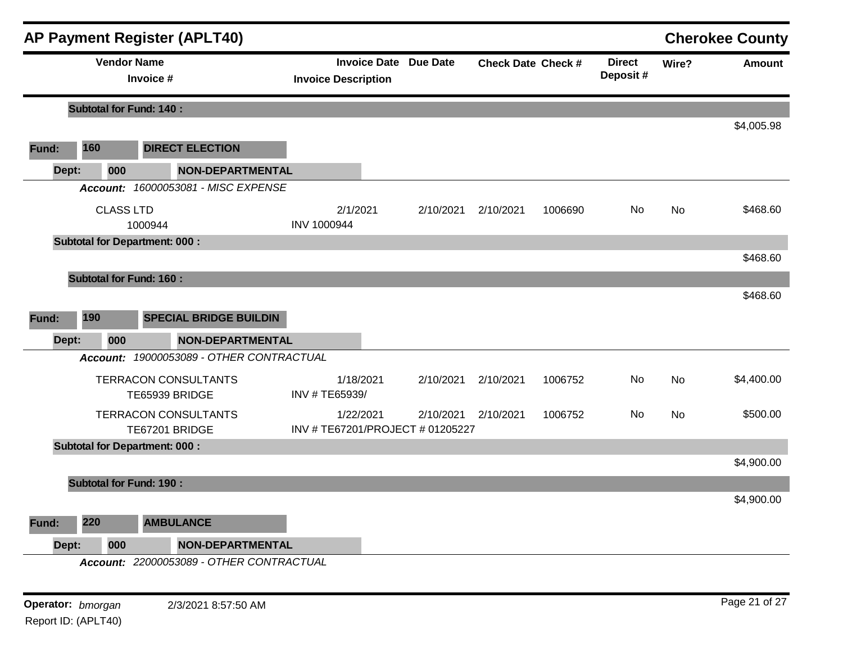|       |                                | <b>AP Payment Register (APLT40)</b>           |                                |                                |           |                           |                            |           | <b>Cherokee County</b> |
|-------|--------------------------------|-----------------------------------------------|--------------------------------|--------------------------------|-----------|---------------------------|----------------------------|-----------|------------------------|
|       | <b>Vendor Name</b>             | Invoice #                                     | <b>Invoice Description</b>     | <b>Invoice Date Due Date</b>   |           | <b>Check Date Check #</b> | <b>Direct</b><br>Deposit # | Wire?     | <b>Amount</b>          |
|       | <b>Subtotal for Fund: 140:</b> |                                               |                                |                                |           |                           |                            |           |                        |
| Fund: | 160                            | <b>DIRECT ELECTION</b>                        |                                |                                |           |                           |                            |           | \$4,005.98             |
| Dept: | 000                            | <b>NON-DEPARTMENTAL</b>                       |                                |                                |           |                           |                            |           |                        |
|       |                                | Account: 16000053081 - MISC EXPENSE           |                                |                                |           |                           |                            |           |                        |
|       | <b>CLASS LTD</b>               | 1000944                                       | 2/1/2021<br><b>INV 1000944</b> | 2/10/2021                      | 2/10/2021 | 1006690                   | No                         | <b>No</b> | \$468.60               |
|       |                                | <b>Subtotal for Department: 000:</b>          |                                |                                |           |                           |                            |           |                        |
|       | <b>Subtotal for Fund: 160:</b> |                                               |                                |                                |           |                           |                            |           | \$468.60               |
|       |                                |                                               |                                |                                |           |                           |                            |           | \$468.60               |
| Fund: | 190                            | <b>SPECIAL BRIDGE BUILDIN</b>                 |                                |                                |           |                           |                            |           |                        |
| Dept: | 000                            | <b>NON-DEPARTMENTAL</b>                       |                                |                                |           |                           |                            |           |                        |
|       |                                | Account: 19000053089 - OTHER CONTRACTUAL      |                                |                                |           |                           |                            |           |                        |
|       |                                | <b>TERRACON CONSULTANTS</b><br>TE65939 BRIDGE | 1/18/2021<br>INV # TE65939/    | 2/10/2021                      | 2/10/2021 | 1006752                   | No                         | <b>No</b> | \$4,400.00             |
|       |                                | <b>TERRACON CONSULTANTS</b>                   | 1/22/2021                      | 2/10/2021                      | 2/10/2021 | 1006752                   | No                         | <b>No</b> | \$500.00               |
|       |                                | TE67201 BRIDGE                                |                                | INV #TE67201/PROJECT #01205227 |           |                           |                            |           |                        |
|       |                                | <b>Subtotal for Department: 000:</b>          |                                |                                |           |                           |                            |           |                        |
|       |                                |                                               |                                |                                |           |                           |                            |           | \$4,900.00             |
|       | <b>Subtotal for Fund: 190:</b> |                                               |                                |                                |           |                           |                            |           |                        |
|       |                                |                                               |                                |                                |           |                           |                            |           | \$4,900.00             |
| Fund: | 220                            | <b>AMBULANCE</b>                              |                                |                                |           |                           |                            |           |                        |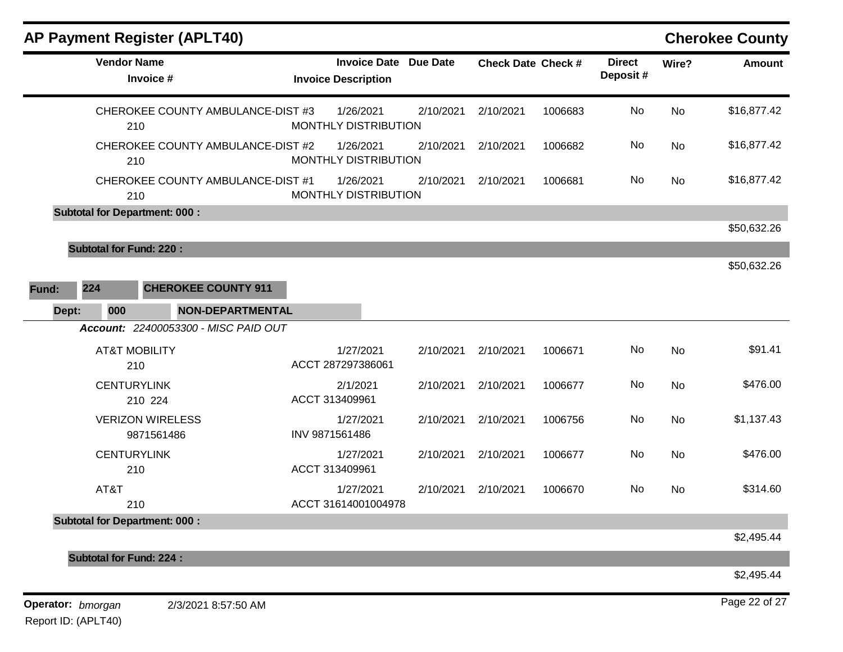|       |                                | <b>AP Payment Register (APLT40)</b>      |                         |                                                            |           |                           |         |                           |           | <b>Cherokee County</b> |
|-------|--------------------------------|------------------------------------------|-------------------------|------------------------------------------------------------|-----------|---------------------------|---------|---------------------------|-----------|------------------------|
|       | <b>Vendor Name</b>             | Invoice #                                |                         | <b>Invoice Date Due Date</b><br><b>Invoice Description</b> |           | <b>Check Date Check #</b> |         | <b>Direct</b><br>Deposit# | Wire?     | <b>Amount</b>          |
|       |                                | CHEROKEE COUNTY AMBULANCE-DIST #3<br>210 |                         | 1/26/2021<br>MONTHLY DISTRIBUTION                          | 2/10/2021 | 2/10/2021                 | 1006683 | No                        | <b>No</b> | \$16,877.42            |
|       |                                | CHEROKEE COUNTY AMBULANCE-DIST #2<br>210 |                         | 1/26/2021<br>MONTHLY DISTRIBUTION                          | 2/10/2021 | 2/10/2021                 | 1006682 | No                        | <b>No</b> | \$16,877.42            |
|       |                                | CHEROKEE COUNTY AMBULANCE-DIST #1<br>210 |                         | 1/26/2021<br>MONTHLY DISTRIBUTION                          | 2/10/2021 | 2/10/2021                 | 1006681 | No                        | <b>No</b> | \$16,877.42            |
|       |                                | <b>Subtotal for Department: 000:</b>     |                         |                                                            |           |                           |         |                           |           |                        |
|       |                                |                                          |                         |                                                            |           |                           |         |                           |           | \$50,632.26            |
|       | <b>Subtotal for Fund: 220:</b> |                                          |                         |                                                            |           |                           |         |                           |           |                        |
|       |                                |                                          |                         |                                                            |           |                           |         |                           |           | \$50,632.26            |
| Fund: | 224                            | <b>CHEROKEE COUNTY 911</b>               |                         |                                                            |           |                           |         |                           |           |                        |
| Dept: | 000                            |                                          | <b>NON-DEPARTMENTAL</b> |                                                            |           |                           |         |                           |           |                        |
|       |                                | Account: 22400053300 - MISC PAID OUT     |                         |                                                            |           |                           |         |                           |           |                        |
|       | <b>AT&amp;T MOBILITY</b>       | 210                                      |                         | 1/27/2021<br>ACCT 287297386061                             | 2/10/2021 | 2/10/2021                 | 1006671 | No                        | <b>No</b> | \$91.41                |
|       | <b>CENTURYLINK</b>             | 210 224                                  | ACCT 313409961          | 2/1/2021                                                   | 2/10/2021 | 2/10/2021                 | 1006677 | No                        | <b>No</b> | \$476.00               |
|       |                                | <b>VERIZON WIRELESS</b><br>9871561486    | INV 9871561486          | 1/27/2021                                                  | 2/10/2021 | 2/10/2021                 | 1006756 | No                        | <b>No</b> | \$1,137.43             |
|       | <b>CENTURYLINK</b>             | 210                                      | ACCT 313409961          | 1/27/2021                                                  | 2/10/2021 | 2/10/2021                 | 1006677 | No                        | <b>No</b> | \$476.00               |
|       | AT&T                           | 210                                      |                         | 1/27/2021<br>ACCT 31614001004978                           | 2/10/2021 | 2/10/2021                 | 1006670 | No                        | <b>No</b> | \$314.60               |
|       |                                | <b>Subtotal for Department: 000:</b>     |                         |                                                            |           |                           |         |                           |           |                        |
|       |                                |                                          |                         |                                                            |           |                           |         |                           |           | \$2,495.44             |
|       | <b>Subtotal for Fund: 224:</b> |                                          |                         |                                                            |           |                           |         |                           |           | \$2,495.44             |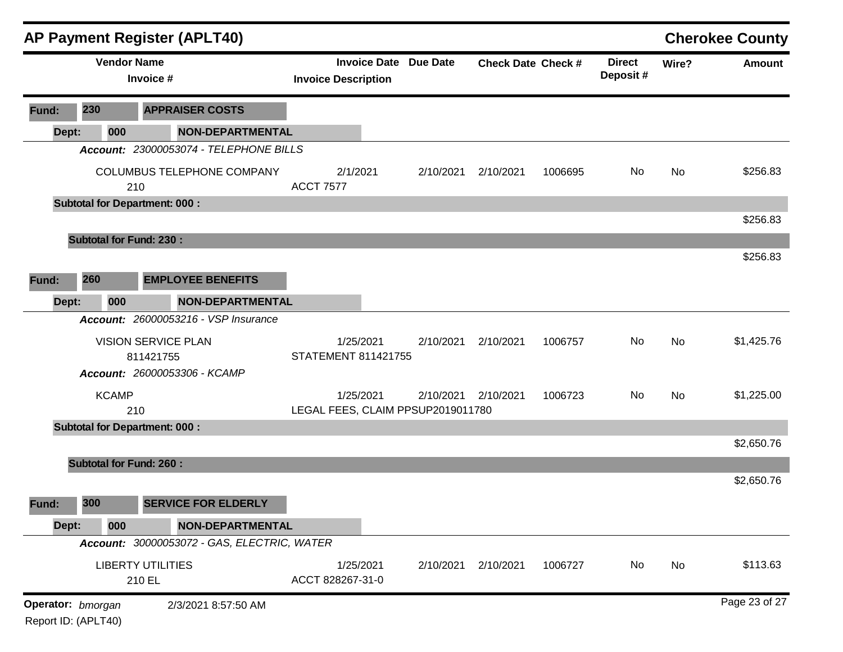|                                          |     |              | <b>AP Payment Register (APLT40)</b>         |                                   |           |                              |                           |         |                           |       | <b>Cherokee County</b> |
|------------------------------------------|-----|--------------|---------------------------------------------|-----------------------------------|-----------|------------------------------|---------------------------|---------|---------------------------|-------|------------------------|
|                                          |     |              | <b>Vendor Name</b><br>Invoice #             | <b>Invoice Description</b>        |           | <b>Invoice Date Due Date</b> | <b>Check Date Check #</b> |         | <b>Direct</b><br>Deposit# | Wire? | <b>Amount</b>          |
| Fund:                                    | 230 |              | <b>APPRAISER COSTS</b>                      |                                   |           |                              |                           |         |                           |       |                        |
| Dept:                                    |     | 000          | <b>NON-DEPARTMENTAL</b>                     |                                   |           |                              |                           |         |                           |       |                        |
|                                          |     |              | Account: 23000053074 - TELEPHONE BILLS      |                                   |           |                              |                           |         |                           |       |                        |
|                                          |     |              | COLUMBUS TELEPHONE COMPANY<br>210           | 2/1/2021<br><b>ACCT 7577</b>      |           | 2/10/2021                    | 2/10/2021                 | 1006695 | No                        | No    | \$256.83               |
|                                          |     |              | <b>Subtotal for Department: 000:</b>        |                                   |           |                              |                           |         |                           |       |                        |
|                                          |     |              |                                             |                                   |           |                              |                           |         |                           |       | \$256.83               |
|                                          |     |              | <b>Subtotal for Fund: 230:</b>              |                                   |           |                              |                           |         |                           |       |                        |
|                                          |     |              |                                             |                                   |           |                              |                           |         |                           |       | \$256.83               |
| Fund:                                    | 260 |              | <b>EMPLOYEE BENEFITS</b>                    |                                   |           |                              |                           |         |                           |       |                        |
| Dept:                                    |     | 000          | <b>NON-DEPARTMENTAL</b>                     |                                   |           |                              |                           |         |                           |       |                        |
|                                          |     |              | <b>Account: 26000053216 - VSP Insurance</b> |                                   |           |                              |                           |         |                           |       |                        |
|                                          |     |              | <b>VISION SERVICE PLAN</b><br>811421755     | 1/25/2021<br>STATEMENT 811421755  |           | 2/10/2021                    | 2/10/2021                 | 1006757 | No                        | No    | \$1,425.76             |
|                                          |     |              | Account: 26000053306 - KCAMP                |                                   |           |                              |                           |         |                           |       |                        |
|                                          |     | <b>KCAMP</b> | 210                                         | LEGAL FEES, CLAIM PPSUP2019011780 | 1/25/2021 | 2/10/2021                    | 2/10/2021                 | 1006723 | No                        | No    | \$1,225.00             |
|                                          |     |              | <b>Subtotal for Department: 000:</b>        |                                   |           |                              |                           |         |                           |       |                        |
|                                          |     |              |                                             |                                   |           |                              |                           |         |                           |       | \$2,650.76             |
|                                          |     |              | <b>Subtotal for Fund: 260:</b>              |                                   |           |                              |                           |         |                           |       |                        |
|                                          |     |              |                                             |                                   |           |                              |                           |         |                           |       | \$2,650.76             |
| Fund:                                    | 300 |              | <b>SERVICE FOR ELDERLY</b>                  |                                   |           |                              |                           |         |                           |       |                        |
| Dept:                                    |     | 000          | <b>NON-DEPARTMENTAL</b>                     |                                   |           |                              |                           |         |                           |       |                        |
|                                          |     |              | Account: 30000053072 - GAS, ELECTRIC, WATER |                                   |           |                              |                           |         |                           |       |                        |
|                                          |     |              | <b>LIBERTY UTILITIES</b><br>210 EL          | 1/25/2021<br>ACCT 828267-31-0     |           | 2/10/2021                    | 2/10/2021                 | 1006727 | No                        | No    | \$113.63               |
| Operator: bmorgan<br>Report ID: (APLT40) |     |              | 2/3/2021 8:57:50 AM                         |                                   |           |                              |                           |         |                           |       | Page 23 of 27          |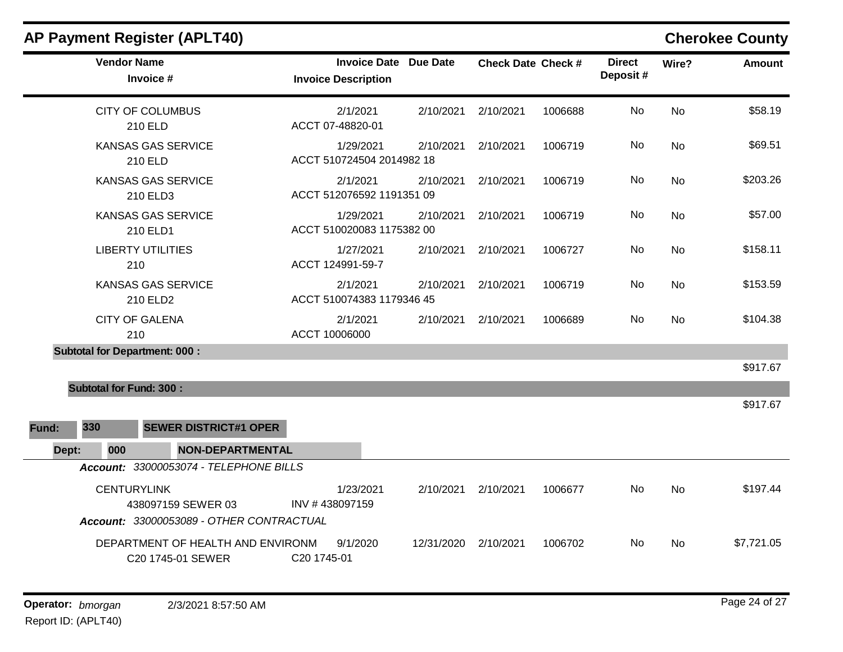| <b>Vendor Name</b><br>Invoice #                                                      | <b>Invoice Date Due Date</b><br><b>Invoice Description</b> |            | <b>Check Date Check #</b> |         | <b>Direct</b><br>Deposit# | Wire?     | <b>Amount</b> |
|--------------------------------------------------------------------------------------|------------------------------------------------------------|------------|---------------------------|---------|---------------------------|-----------|---------------|
| <b>CITY OF COLUMBUS</b><br>210 ELD                                                   | 2/1/2021<br>ACCT 07-48820-01                               | 2/10/2021  | 2/10/2021                 | 1006688 | No                        | <b>No</b> | \$58.19       |
| <b>KANSAS GAS SERVICE</b><br>210 ELD                                                 | 1/29/2021<br>ACCT 510724504 2014982 18                     | 2/10/2021  | 2/10/2021                 | 1006719 | No                        | <b>No</b> | \$69.51       |
| <b>KANSAS GAS SERVICE</b><br>210 ELD3                                                | 2/1/2021<br>ACCT 512076592 1191351 09                      | 2/10/2021  | 2/10/2021                 | 1006719 | No                        | <b>No</b> | \$203.26      |
| <b>KANSAS GAS SERVICE</b><br>210 ELD1                                                | 1/29/2021<br>ACCT 510020083 1175382 00                     | 2/10/2021  | 2/10/2021                 | 1006719 | No                        | <b>No</b> | \$57.00       |
| <b>LIBERTY UTILITIES</b><br>210                                                      | 1/27/2021<br>ACCT 124991-59-7                              | 2/10/2021  | 2/10/2021                 | 1006727 | No                        | <b>No</b> | \$158.11      |
| <b>KANSAS GAS SERVICE</b><br>210 ELD2                                                | 2/1/2021<br>ACCT 510074383 1179346 45                      | 2/10/2021  | 2/10/2021                 | 1006719 | No                        | <b>No</b> | \$153.59      |
| <b>CITY OF GALENA</b><br>210                                                         | 2/1/2021<br>ACCT 10006000                                  | 2/10/2021  | 2/10/2021                 | 1006689 | No                        | <b>No</b> | \$104.38      |
| <b>Subtotal for Department: 000:</b>                                                 |                                                            |            |                           |         |                           |           |               |
|                                                                                      |                                                            |            |                           |         |                           |           | \$917.67      |
| <b>Subtotal for Fund: 300:</b>                                                       |                                                            |            |                           |         |                           |           |               |
|                                                                                      |                                                            |            |                           |         |                           |           | \$917.67      |
| 330<br><b>SEWER DISTRICT#1 OPER</b><br>Fund:                                         |                                                            |            |                           |         |                           |           |               |
| 000<br><b>NON-DEPARTMENTAL</b><br>Dept:                                              |                                                            |            |                           |         |                           |           |               |
| Account: 33000053074 - TELEPHONE BILLS                                               |                                                            |            |                           |         |                           |           |               |
| <b>CENTURYLINK</b><br>438097159 SEWER 03<br>Account: 33000053089 - OTHER CONTRACTUAL | 1/23/2021<br>INV #438097159                                | 2/10/2021  | 2/10/2021                 | 1006677 | No                        | <b>No</b> | \$197.44      |
| DEPARTMENT OF HEALTH AND ENVIRONM<br>C20 1745-01 SEWER                               | 9/1/2020<br>C20 1745-01                                    | 12/31/2020 | 2/10/2021                 | 1006702 | No.                       | No        | \$7,721.05    |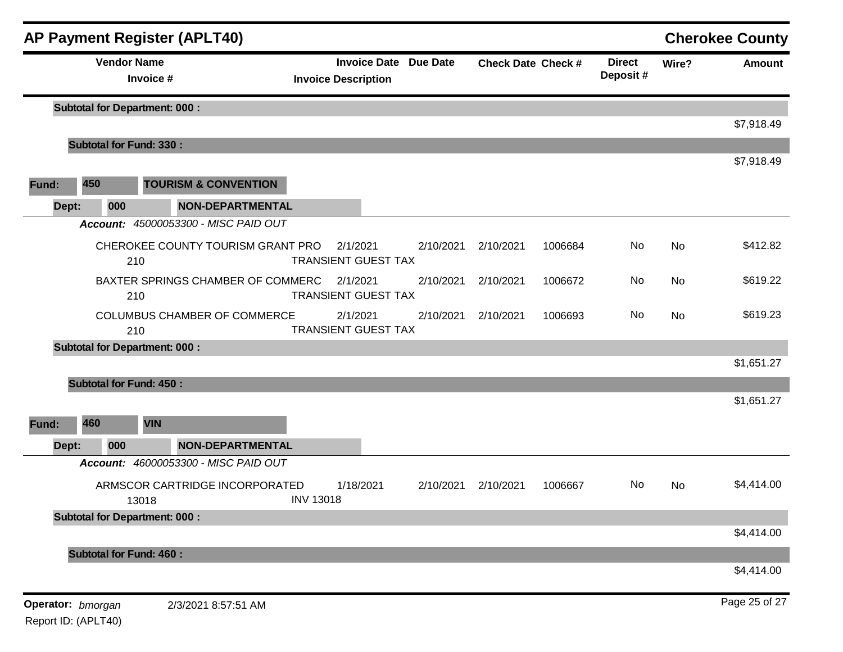|                   |     |                    | <b>AP Payment Register (APLT40)</b>     |                                        |                              |                           |         |                           |           | <b>Cherokee County</b> |
|-------------------|-----|--------------------|-----------------------------------------|----------------------------------------|------------------------------|---------------------------|---------|---------------------------|-----------|------------------------|
|                   |     | <b>Vendor Name</b> | Invoice #                               | <b>Invoice Description</b>             | <b>Invoice Date Due Date</b> | <b>Check Date Check #</b> |         | <b>Direct</b><br>Deposit# | Wire?     | Amount                 |
|                   |     |                    | <b>Subtotal for Department: 000:</b>    |                                        |                              |                           |         |                           |           | \$7,918.49             |
|                   |     |                    | <b>Subtotal for Fund: 330:</b>          |                                        |                              |                           |         |                           |           |                        |
|                   |     |                    |                                         |                                        |                              |                           |         |                           |           | \$7,918.49             |
| Fund:             | 450 |                    | <b>TOURISM &amp; CONVENTION</b>         |                                        |                              |                           |         |                           |           |                        |
| Dept:             |     | 000                | <b>NON-DEPARTMENTAL</b>                 |                                        |                              |                           |         |                           |           |                        |
|                   |     |                    | Account: 45000053300 - MISC PAID OUT    |                                        |                              |                           |         |                           |           |                        |
|                   |     | 210                | CHEROKEE COUNTY TOURISM GRANT PRO       | 2/1/2021<br><b>TRANSIENT GUEST TAX</b> | 2/10/2021                    | 2/10/2021                 | 1006684 | No                        | No        | \$412.82               |
|                   |     | 210                | BAXTER SPRINGS CHAMBER OF COMMERC       | 2/1/2021<br><b>TRANSIENT GUEST TAX</b> | 2/10/2021                    | 2/10/2021                 | 1006672 | No                        | <b>No</b> | \$619.22               |
|                   |     | 210                | <b>COLUMBUS CHAMBER OF COMMERCE</b>     | 2/1/2021<br><b>TRANSIENT GUEST TAX</b> | 2/10/2021                    | 2/10/2021                 | 1006693 | No                        | No        | \$619.23               |
|                   |     |                    | <b>Subtotal for Department: 000:</b>    |                                        |                              |                           |         |                           |           |                        |
|                   |     |                    |                                         |                                        |                              |                           |         |                           |           | \$1,651.27             |
|                   |     |                    | <b>Subtotal for Fund: 450:</b>          |                                        |                              |                           |         |                           |           |                        |
|                   |     |                    |                                         |                                        |                              |                           |         |                           |           | \$1,651.27             |
| Fund:             | 460 |                    | <b>VIN</b>                              |                                        |                              |                           |         |                           |           |                        |
| Dept:             |     | 000                | <b>NON-DEPARTMENTAL</b>                 |                                        |                              |                           |         |                           |           |                        |
|                   |     |                    | Account: 46000053300 - MISC PAID OUT    |                                        |                              |                           |         |                           |           |                        |
|                   |     |                    | ARMSCOR CARTRIDGE INCORPORATED<br>13018 | 1/18/2021<br><b>INV 13018</b>          | 2/10/2021                    | 2/10/2021                 | 1006667 | No                        | No        | \$4,414.00             |
|                   |     |                    | <b>Subtotal for Department: 000:</b>    |                                        |                              |                           |         |                           |           |                        |
|                   |     |                    |                                         |                                        |                              |                           |         |                           |           | \$4,414.00             |
|                   |     |                    | <b>Subtotal for Fund: 460:</b>          |                                        |                              |                           |         |                           |           |                        |
|                   |     |                    |                                         |                                        |                              |                           |         |                           |           | \$4,414.00             |
| Operator: bmorgan |     |                    | 2/3/2021 8:57:51 AM                     |                                        |                              |                           |         |                           |           | Page 25 of 27          |

Report ID: (APLT40)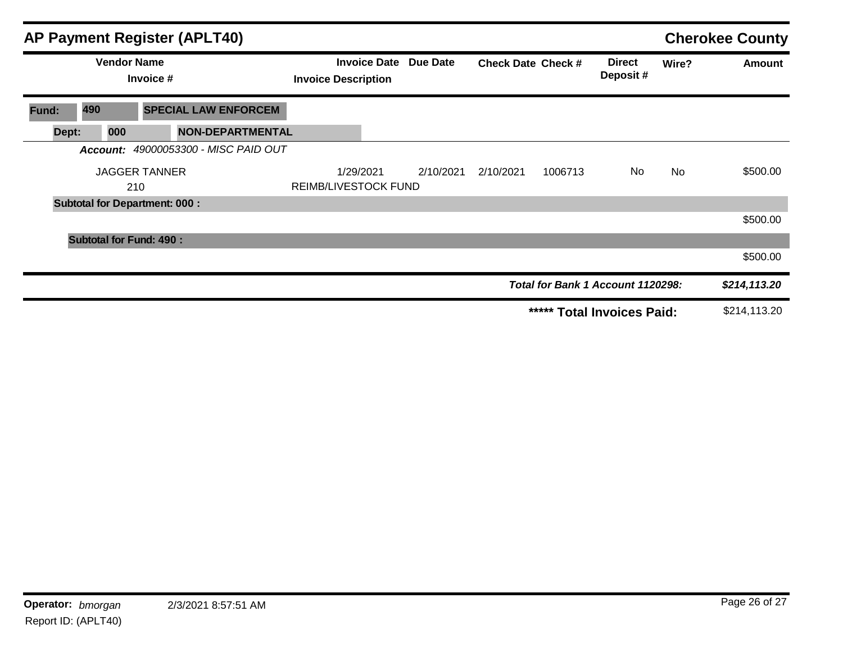|       |                                | <b>AP Payment Register (APLT40)</b>         |                      |                                                   |                 |                           |         |                                   |           | <b>Cherokee County</b> |
|-------|--------------------------------|---------------------------------------------|----------------------|---------------------------------------------------|-----------------|---------------------------|---------|-----------------------------------|-----------|------------------------|
|       |                                | <b>Vendor Name</b><br>Invoice #             |                      | <b>Invoice Date</b><br><b>Invoice Description</b> | <b>Due Date</b> | <b>Check Date Check #</b> |         | <b>Direct</b><br>Deposit#         | Wire?     | <b>Amount</b>          |
| Fund: | 490                            | <b>SPECIAL LAW ENFORCEM</b>                 |                      |                                                   |                 |                           |         |                                   |           |                        |
| Dept: | 000                            | <b>NON-DEPARTMENTAL</b>                     |                      |                                                   |                 |                           |         |                                   |           |                        |
|       |                                | <b>Account: 49000053300 - MISC PAID OUT</b> |                      |                                                   |                 |                           |         |                                   |           |                        |
|       |                                | <b>JAGGER TANNER</b>                        |                      | 1/29/2021                                         | 2/10/2021       | 2/10/2021                 | 1006713 | No.                               | <b>No</b> | \$500.00               |
|       |                                | 210                                         | REIMB/LIVESTOCK FUND |                                                   |                 |                           |         |                                   |           |                        |
|       |                                | <b>Subtotal for Department: 000:</b>        |                      |                                                   |                 |                           |         |                                   |           |                        |
|       |                                |                                             |                      |                                                   |                 |                           |         |                                   |           | \$500.00               |
|       | <b>Subtotal for Fund: 490:</b> |                                             |                      |                                                   |                 |                           |         |                                   |           |                        |
|       |                                |                                             |                      |                                                   |                 |                           |         |                                   |           | \$500.00               |
|       |                                |                                             |                      |                                                   |                 |                           |         | Total for Bank 1 Account 1120298: |           | \$214,113.20           |
|       |                                |                                             |                      |                                                   |                 |                           | *****   | <b>Total Invoices Paid:</b>       |           | \$214,113.20           |